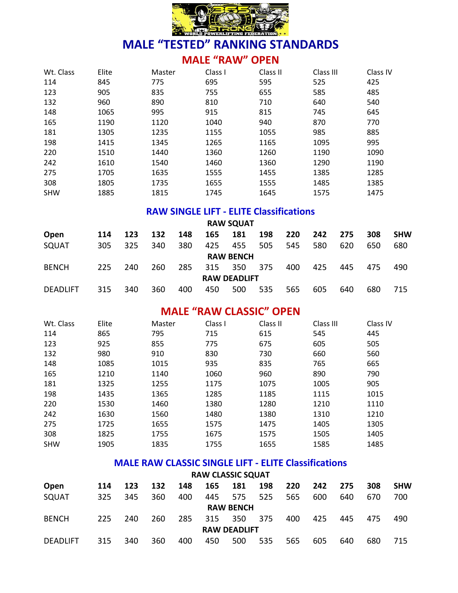

#### **MALE "RAW" OPEN**

| Wt. Class  | Elite | Master | Class I | Class II | Class III | Class IV |
|------------|-------|--------|---------|----------|-----------|----------|
| 114        | 845   | 775    | 695     | 595      | 525       | 425      |
| 123        | 905   | 835    | 755     | 655      | 585       | 485      |
| 132        | 960   | 890    | 810     | 710      | 640       | 540      |
| 148        | 1065  | 995    | 915     | 815      | 745       | 645      |
| 165        | 1190  | 1120   | 1040    | 940      | 870       | 770      |
| 181        | 1305  | 1235   | 1155    | 1055     | 985       | 885      |
| 198        | 1415  | 1345   | 1265    | 1165     | 1095      | 995      |
| 220        | 1510  | 1440   | 1360    | 1260     | 1190      | 1090     |
| 242        | 1610  | 1540   | 1460    | 1360     | 1290      | 1190     |
| 275        | 1705  | 1635   | 1555    | 1455     | 1385      | 1285     |
| 308        | 1805  | 1735   | 1655    | 1555     | 1485      | 1385     |
| <b>SHW</b> | 1885  | 1815   | 1745    | 1645     | 1575      | 1475     |

#### **RAW SINGLE LIFT - ELITE Classifications**

|                 |     |     |     |     |     | <b>RAW SQUAT</b>    |     |     |     |     |     |            |
|-----------------|-----|-----|-----|-----|-----|---------------------|-----|-----|-----|-----|-----|------------|
| Open            | 114 | 123 | 132 | 148 | 165 | 181                 | 198 | 220 | 242 | 275 | 308 | <b>SHW</b> |
| SQUAT           | 305 | 325 | 340 | 380 | 425 | 455                 | 505 | 545 | 580 | 620 | 650 | 680        |
|                 |     |     |     |     |     | <b>RAW BENCH</b>    |     |     |     |     |     |            |
| <b>BENCH</b>    | 225 | 240 | 260 | 285 | 315 | 350                 | 375 | 400 | 425 | 445 | 475 | 490        |
|                 |     |     |     |     |     | <b>RAW DEADLIFT</b> |     |     |     |     |     |            |
| <b>DEADLIFT</b> | 315 | 340 | 360 | 400 | 450 | 500                 | 535 | 565 | 605 | 640 | 680 | 715        |

### **MALE "RAW CLASSIC" OPEN**

| Wt. Class  | Elite | Master | Class I | Class II | Class III | Class IV |
|------------|-------|--------|---------|----------|-----------|----------|
| 114        | 865   | 795    | 715     | 615      | 545       | 445      |
| 123        | 925   | 855    | 775     | 675      | 605       | 505      |
| 132        | 980   | 910    | 830     | 730      | 660       | 560      |
| 148        | 1085  | 1015   | 935     | 835      | 765       | 665      |
| 165        | 1210  | 1140   | 1060    | 960      | 890       | 790      |
| 181        | 1325  | 1255   | 1175    | 1075     | 1005      | 905      |
| 198        | 1435  | 1365   | 1285    | 1185     | 1115      | 1015     |
| 220        | 1530  | 1460   | 1380    | 1280     | 1210      | 1110     |
| 242        | 1630  | 1560   | 1480    | 1380     | 1310      | 1210     |
| 275        | 1725  | 1655   | 1575    | 1475     | 1405      | 1305     |
| 308        | 1825  | 1755   | 1675    | 1575     | 1505      | 1405     |
| <b>SHW</b> | 1905  | 1835   | 1755    | 1655     | 1585      | 1485     |

#### **MALE RAW CLASSIC SINGLE LIFT - ELITE Classifications**

|                 |     |     |     |     |     | <b>RAW CLASSIC SQUAT</b> |     |     |     |     |     |            |
|-----------------|-----|-----|-----|-----|-----|--------------------------|-----|-----|-----|-----|-----|------------|
| Open            | 114 | 123 | 132 | 148 | 165 | 181                      | 198 | 220 | 242 | 275 | 308 | <b>SHW</b> |
| SQUAT           | 325 | 345 | 360 | 400 | 445 | 575                      | 525 | 565 | 600 | 640 | 670 | 700        |
|                 |     |     |     |     |     | <b>RAW BENCH</b>         |     |     |     |     |     |            |
| <b>BENCH</b>    | 225 | 240 | 260 | 285 | 315 | 350                      | 375 | 400 | 425 | 445 | 475 | 490        |
|                 |     |     |     |     |     | <b>RAW DEADLIFT</b>      |     |     |     |     |     |            |
| <b>DEADLIFT</b> | 315 | 340 | 360 | 400 | 450 | 500                      | 535 | 565 | 605 | 640 | 680 | 715        |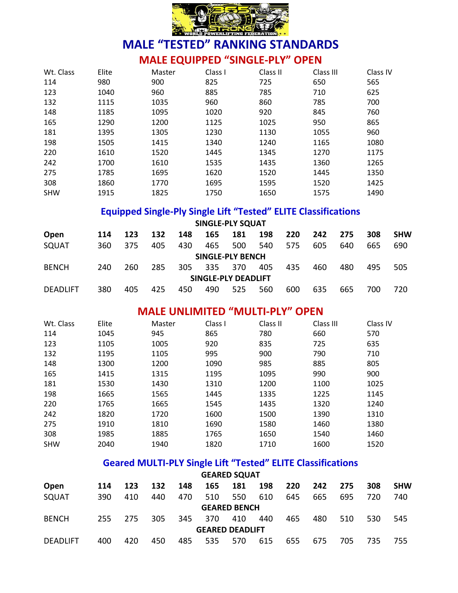

# **MALE EQUIPPED "SINGLE-PLY" OPEN**

| Wt. Class  | Elite | Master | Class I | Class II | Class III | Class IV |
|------------|-------|--------|---------|----------|-----------|----------|
| 114        | 980   | 900    | 825     | 725      | 650       | 565      |
| 123        | 1040  | 960    | 885     | 785      | 710       | 625      |
| 132        | 1115  | 1035   | 960     | 860      | 785       | 700      |
| 148        | 1185  | 1095   | 1020    | 920      | 845       | 760      |
| 165        | 1290  | 1200   | 1125    | 1025     | 950       | 865      |
| 181        | 1395  | 1305   | 1230    | 1130     | 1055      | 960      |
| 198        | 1505  | 1415   | 1340    | 1240     | 1165      | 1080     |
| 220        | 1610  | 1520   | 1445    | 1345     | 1270      | 1175     |
| 242        | 1700  | 1610   | 1535    | 1435     | 1360      | 1265     |
| 275        | 1785  | 1695   | 1620    | 1520     | 1445      | 1350     |
| 308        | 1860  | 1770   | 1695    | 1595     | 1520      | 1425     |
| <b>SHW</b> | 1915  | 1825   | 1750    | 1650     | 1575      | 1490     |

### **Equipped Single-Ply Single Lift "Tested" ELITE Classifications**

|                 |     |     |     |     |     | <b>SINGLE-PLY SQUAT</b> |     |     |     |     |     |            |
|-----------------|-----|-----|-----|-----|-----|-------------------------|-----|-----|-----|-----|-----|------------|
| Open            | 114 | 123 | 132 | 148 | 165 | 181                     | 198 | 220 | 242 | 275 | 308 | <b>SHW</b> |
| SQUAT           | 360 | 375 | 405 | 430 | 465 | 500                     | 540 | 575 | 605 | 640 | 665 | 690        |
|                 |     |     |     |     |     | SINGLE-PLY BENCH        |     |     |     |     |     |            |
| <b>BENCH</b>    | 240 | 260 | 285 | 305 | 335 | 370                     | 405 | 435 | 460 | 480 | 495 | 505        |
|                 |     |     |     |     |     | SINGLE-PLY DEADLIFT     |     |     |     |     |     |            |
| <b>DEADLIFT</b> | 380 | 405 | 425 | 450 | 490 | 525                     | 560 | 600 | 635 | 665 | 700 | 720        |

#### **MALE UNLIMITED "MULTI-PLY" OPEN**

| Wt. Class  | Elite | Master | Class I | Class II | Class III | Class IV |
|------------|-------|--------|---------|----------|-----------|----------|
| 114        | 1045  | 945    | 865     | 780      | 660       | 570      |
| 123        | 1105  | 1005   | 920     | 835      | 725       | 635      |
| 132        | 1195  | 1105   | 995     | 900      | 790       | 710      |
| 148        | 1300  | 1200   | 1090    | 985      | 885       | 805      |
| 165        | 1415  | 1315   | 1195    | 1095     | 990       | 900      |
| 181        | 1530  | 1430   | 1310    | 1200     | 1100      | 1025     |
| 198        | 1665  | 1565   | 1445    | 1335     | 1225      | 1145     |
| 220        | 1765  | 1665   | 1545    | 1435     | 1320      | 1240     |
| 242        | 1820  | 1720   | 1600    | 1500     | 1390      | 1310     |
| 275        | 1910  | 1810   | 1690    | 1580     | 1460      | 1380     |
| 308        | 1985  | 1885   | 1765    | 1650     | 1540      | 1460     |
| <b>SHW</b> | 2040  | 1940   | 1820    | 1710     | 1600      | 1520     |

### **Geared MULTI-PLY Single Lift "Tested" ELITE Classifications**

|                 |     |     |     |     |                        | <b>GEARED SQUAT</b> |     |     |     |      |     |            |
|-----------------|-----|-----|-----|-----|------------------------|---------------------|-----|-----|-----|------|-----|------------|
| Open            | 114 | 123 | 132 | 148 | 165                    | 181                 | 198 | 220 | 242 | 275  | 308 | <b>SHW</b> |
| SQUAT           | 390 | 410 | 440 | 470 | 510                    | 550                 | 610 | 645 | 665 | 695  | 720 | 740        |
|                 |     |     |     |     |                        | <b>GEARED BENCH</b> |     |     |     |      |     |            |
| <b>BENCH</b>    | 255 | 275 | 305 | 345 | 370                    | 410                 | 440 | 465 | 480 | 510  | 530 | 545        |
|                 |     |     |     |     | <b>GEARED DEADLIFT</b> |                     |     |     |     |      |     |            |
| <b>DEADLIFT</b> | 400 | 420 | 450 | 485 | 535                    | 570                 | 615 | 655 | 675 | 705. | 735 | 755        |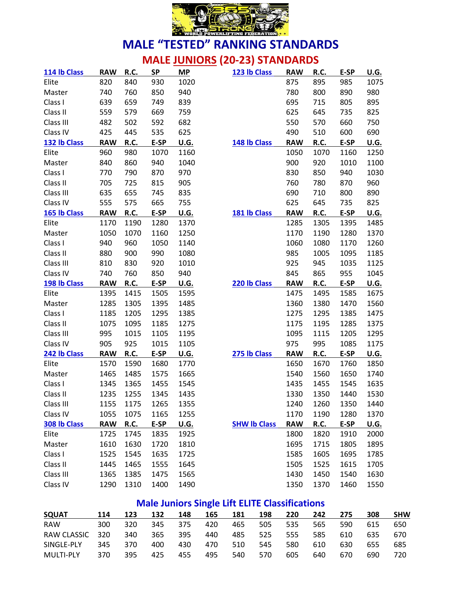

# **MALE JUNIORS (20-23) STANDARDS**

| 114 lb Class | <b>RAW</b> | R.C. | <b>SP</b> | <b>MP</b>   | 123 lb Class        | <b>RAW</b> | R.C.        | E-SP | <b>U.G.</b> |
|--------------|------------|------|-----------|-------------|---------------------|------------|-------------|------|-------------|
| Elite        | 820        | 840  | 930       | 1020        |                     | 875        | 895         | 985  | 1075        |
| Master       | 740        | 760  | 850       | 940         |                     | 780        | 800         | 890  | 980         |
| Class I      | 639        | 659  | 749       | 839         |                     | 695        | 715         | 805  | 895         |
| Class II     | 559        | 579  | 669       | 759         |                     | 625        | 645         | 735  | 825         |
| Class III    | 482        | 502  | 592       | 682         |                     | 550        | 570         | 660  | 750         |
| Class IV     | 425        | 445  | 535       | 625         |                     | 490        | 510         | 600  | 690         |
| 132 lb Class | <b>RAW</b> | R.C. | E-SP      | <b>U.G.</b> | 148 lb Class        | <b>RAW</b> | R.C.        | E-SP | <b>U.G.</b> |
| Elite        | 960        | 980  | 1070      | 1160        |                     | 1050       | 1070        | 1160 | 1250        |
| Master       | 840        | 860  | 940       | 1040        |                     | 900        | 920         | 1010 | 1100        |
| Class I      | 770        | 790  | 870       | 970         |                     | 830        | 850         | 940  | 1030        |
| Class II     | 705        | 725  | 815       | 905         |                     | 760        | 780         | 870  | 960         |
| Class III    | 635        | 655  | 745       | 835         |                     | 690        | 710         | 800  | 890         |
| Class IV     | 555        | 575  | 665       | 755         |                     | 625        | 645         | 735  | 825         |
| 165 lb Class | <b>RAW</b> | R.C. | E-SP      | U.G.        | 181 lb Class        | <b>RAW</b> | R.C.        | E-SP | <b>U.G.</b> |
| Elite        | 1170       | 1190 | 1280      | 1370        |                     | 1285       | 1305        | 1395 | 1485        |
| Master       | 1050       | 1070 | 1160      | 1250        |                     | 1170       | 1190        | 1280 | 1370        |
| Class I      | 940        | 960  | 1050      | 1140        |                     | 1060       | 1080        | 1170 | 1260        |
| Class II     | 880        | 900  | 990       | 1080        |                     | 985        | 1005        | 1095 | 1185        |
| Class III    | 810        | 830  | 920       | 1010        |                     | 925        | 945         | 1035 | 1125        |
| Class IV     | 740        | 760  | 850       | 940         |                     | 845        | 865         | 955  | 1045        |
|              |            |      |           |             |                     |            |             |      |             |
| 198 lb Class | <b>RAW</b> | R.C. | E-SP      | U.G.        | 220 lb Class        | <b>RAW</b> | R.C.        | E-SP | <b>U.G.</b> |
| Elite        | 1395       | 1415 | 1505      | 1595        |                     | 1475       | 1495        | 1585 | 1675        |
| Master       | 1285       | 1305 | 1395      | 1485        |                     | 1360       | 1380        | 1470 | 1560        |
| Class I      | 1185       | 1205 | 1295      | 1385        |                     | 1275       | 1295        | 1385 | 1475        |
| Class II     | 1075       | 1095 | 1185      | 1275        |                     | 1175       | 1195        | 1285 | 1375        |
| Class III    | 995        | 1015 | 1105      | 1195        |                     | 1095       | 1115        | 1205 | 1295        |
| Class IV     | 905        | 925  | 1015      | 1105        |                     | 975        | 995         | 1085 | 1175        |
| 242 lb Class | <b>RAW</b> | R.C. | E-SP      | <u>U.G.</u> | 275 lb Class        | <b>RAW</b> | <b>R.C.</b> | E-SP | <u>U.G.</u> |
| Elite        | 1570       | 1590 | 1680      | 1770        |                     | 1650       | 1670        | 1760 | 1850        |
| Master       | 1465       | 1485 | 1575      | 1665        |                     | 1540       | 1560        | 1650 | 1740        |
| Class I      | 1345       | 1365 | 1455      | 1545        |                     | 1435       | 1455        | 1545 | 1635        |
| Class II     | 1235       | 1255 | 1345      | 1435        |                     | 1330       | 1350        | 1440 | 1530        |
| Class III    | 1155       | 1175 | 1265      | 1355        |                     | 1240       | 1260        | 1350 | 1440        |
| Class IV     | 1055       | 1075 | 1165      | 1255        |                     | 1170       | 1190        | 1280 | 1370        |
| 308 lb Class | <b>RAW</b> | R.C. | E-SP      | <u>U.G.</u> | <b>SHW Ib Class</b> | <b>RAW</b> | R.C.        | E-SP | <u>U.G.</u> |
| Elite        | 1725       | 1745 | 1835      | 1925        |                     | 1800       | 1820        | 1910 | 2000        |
| Master       | 1610       | 1630 | 1720      | 1810        |                     | 1695       | 1715        | 1805 | 1895        |
| Class I      | 1525       | 1545 | 1635      | 1725        |                     | 1585       | 1605        | 1695 | 1785        |
| Class II     | 1445       | 1465 | 1555      | 1645        |                     | 1505       | 1525        | 1615 | 1705        |
| Class III    | 1365       | 1385 | 1475      | 1565        |                     | 1430       | 1450        | 1540 | 1630        |

### **Male Juniors Single Lift ELITE Classifications**

| <b>SQUAT</b>     | 114 | 123 | 132 | 148 | 165 | 181 | 198 | 220 | 242 | 275 | 308 | <b>SHW</b> |
|------------------|-----|-----|-----|-----|-----|-----|-----|-----|-----|-----|-----|------------|
| <b>RAW</b>       | 300 | 320 | 345 | 375 | 420 | 465 | 505 | 535 | 565 | 590 | 615 | 650        |
| RAW CLASSIC      | 320 | 340 | 365 | 395 | 440 | 485 | 525 | 555 | 585 | 610 | 635 | 670        |
| SINGLE-PLY       | 345 | 370 | 400 | 430 | 470 | 510 | 545 | 580 | 610 | 630 | 655 | 685        |
| <b>MULTI-PLY</b> | 370 | 395 | 425 | 455 | 495 | 540 | 570 | 605 | 640 | 670 | 690 | 720.       |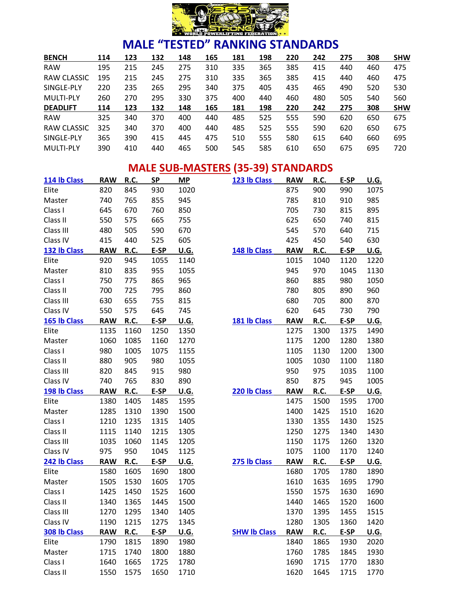

| <b>BENCH</b>     | 114 | 123 | 132 | 148 | 165 | 181 | 198 | 220 | 242 | 275 | 308 | <b>SHW</b> |
|------------------|-----|-----|-----|-----|-----|-----|-----|-----|-----|-----|-----|------------|
| <b>RAW</b>       | 195 | 215 | 245 | 275 | 310 | 335 | 365 | 385 | 415 | 440 | 460 | 475        |
| RAW CLASSIC      | 195 | 215 | 245 | 275 | 310 | 335 | 365 | 385 | 415 | 440 | 460 | 475        |
| SINGLE-PLY       | 220 | 235 | 265 | 295 | 340 | 375 | 405 | 435 | 465 | 490 | 520 | 530        |
| <b>MULTI-PLY</b> | 260 | 270 | 295 | 330 | 375 | 400 | 440 | 460 | 480 | 505 | 540 | 560        |
| <b>DEADLIFT</b>  | 114 | 123 | 132 | 148 | 165 | 181 | 198 | 220 | 242 | 275 | 308 | <b>SHW</b> |
| <b>RAW</b>       | 325 | 340 | 370 | 400 | 440 | 485 | 525 | 555 | 590 | 620 | 650 | 675        |
| RAW CLASSIC      | 325 | 340 | 370 | 400 | 440 | 485 | 525 | 555 | 590 | 620 | 650 | 675        |
| SINGLE-PLY       | 365 | 390 | 415 | 445 | 475 | 510 | 555 | 580 | 615 | 640 | 660 | 695        |
| <b>MULTI-PLY</b> | 390 | 410 | 440 | 465 | 500 | 545 | 585 | 610 | 650 | 675 | 695 | 720        |

#### **MALE SUB-MASTERS (35-39) STANDARDS**

| 114 lb Class | <b>RAW</b> | R.C.        | <b>SP</b> | <b>MP</b>   | 123 lb Class        | <b>RAW</b> | <b>R.C.</b> | E-SP | <u>U.G.</u> |
|--------------|------------|-------------|-----------|-------------|---------------------|------------|-------------|------|-------------|
| Elite        | 820        | 845         | 930       | 1020        |                     | 875        | 900         | 990  | 1075        |
| Master       | 740        | 765         | 855       | 945         |                     | 785        | 810         | 910  | 985         |
| Class I      | 645        | 670         | 760       | 850         |                     | 705        | 730         | 815  | 895         |
| Class II     | 550        | 575         | 665       | 755         |                     | 625        | 650         | 740  | 815         |
| Class III    | 480        | 505         | 590       | 670         |                     | 545        | 570         | 640  | 715         |
| Class IV     | 415        | 440         | 525       | 605         |                     | 425        | 450         | 540  | 630         |
| 132 lb Class | <b>RAW</b> | <b>R.C.</b> | E-SP      | <u>U.G.</u> | 148 lb Class        | <b>RAW</b> | <b>R.C.</b> | E-SP | <u>U.G.</u> |
| Elite        | 920        | 945         | 1055      | 1140        |                     | 1015       | 1040        | 1120 | 1220        |
| Master       | 810        | 835         | 955       | 1055        |                     | 945        | 970         | 1045 | 1130        |
| Class I      | 750        | 775         | 865       | 965         |                     | 860        | 885         | 980  | 1050        |
| Class II     | 700        | 725         | 795       | 860         |                     | 780        | 805         | 890  | 960         |
| Class III    | 630        | 655         | 755       | 815         |                     | 680        | 705         | 800  | 870         |
| Class IV     | 550        | 575         | 645       | 745         |                     | 620        | 645         | 730  | 790         |
| 165 lb Class | <b>RAW</b> | R.C.        | E-SP      | <u>U.G.</u> | 181 lb Class        | <b>RAW</b> | R.C.        | E-SP | <u>U.G.</u> |
| Elite        | 1135       | 1160        | 1250      | 1350        |                     | 1275       | 1300        | 1375 | 1490        |
| Master       | 1060       | 1085        | 1160      | 1270        |                     | 1175       | 1200        | 1280 | 1380        |
| Class I      | 980        | 1005        | 1075      | 1155        |                     | 1105       | 1130        | 1200 | 1300        |
| Class II     | 880        | 905         | 980       | 1055        |                     | 1005       | 1030        | 1100 | 1180        |
| Class III    | 820        | 845         | 915       | 980         |                     | 950        | 975         | 1035 | 1100        |
| Class IV     | 740        | 765         | 830       | 890         |                     | 850        | 875         | 945  | 1005        |
| 198 lb Class | <b>RAW</b> | R.C.        | E-SP      | <b>U.G.</b> | 220 lb Class        | <b>RAW</b> | R.C.        | E-SP | <u>U.G.</u> |
| Elite        | 1380       | 1405        | 1485      | 1595        |                     | 1475       | 1500        | 1595 | 1700        |
| Master       | 1285       | 1310        | 1390      | 1500        |                     | 1400       | 1425        | 1510 | 1620        |
| Class I      | 1210       | 1235        | 1315      | 1405        |                     | 1330       | 1355        | 1430 | 1525        |
| Class II     | 1115       | 1140        | 1215      | 1305        |                     | 1250       | 1275        | 1340 | 1430        |
| Class III    | 1035       | 1060        | 1145      | 1205        |                     | 1150       | 1175        | 1260 | 1320        |
| Class IV     | 975        | 950         | 1045      | 1125        |                     | 1075       | 1100        | 1170 | 1240        |
| 242 lb Class | <b>RAW</b> | R.C.        | E-SP      | U.G.        | 275 lb Class        | <b>RAW</b> | R.C.        | E-SP | <u>U.G.</u> |
| Elite        | 1580       | 1605        | 1690      | 1800        |                     | 1680       | 1705        | 1780 | 1890        |
| Master       | 1505       | 1530        | 1605      | 1705        |                     | 1610       | 1635        | 1695 | 1790        |
| Class I      | 1425       | 1450        | 1525      | 1600        |                     | 1550       | 1575        | 1630 | 1690        |
| Class II     | 1340       | 1365        | 1445      | 1500        |                     | 1440       | 1465        | 1520 | 1600        |
| Class III    | 1270       | 1295        | 1340      | 1405        |                     | 1370       | 1395        | 1455 | 1515        |
| Class IV     | 1190       | 1215        | 1275      | 1345        |                     | 1280       | 1305        | 1360 | 1420        |
| 308 lb Class | <b>RAW</b> | <b>R.C.</b> | E-SP      | <u>U.G.</u> | <b>SHW Ib Class</b> | <b>RAW</b> | R.C.        | E-SP | <u>U.G.</u> |
| Elite        | 1790       | 1815        | 1890      | 1980        |                     | 1840       | 1865        | 1930 | 2020        |
| Master       | 1715       | 1740        | 1800      | 1880        |                     | 1760       | 1785        | 1845 | 1930        |
| Class I      | 1640       | 1665        | 1725      | 1780        |                     | 1690       | 1715        | 1770 | 1830        |
| Class II     | 1550       | 1575        | 1650      | 1710        |                     | 1620       | 1645        | 1715 | 1770        |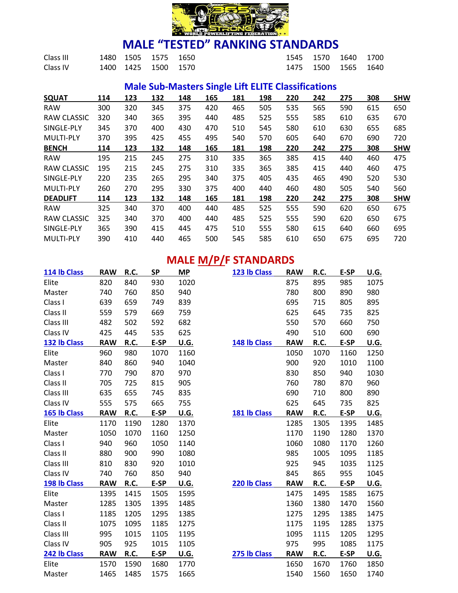

| Class III | 1480 1505 1575 1650 |  |  | 1545 1570 1640 1700 |  |
|-----------|---------------------|--|--|---------------------|--|
| Class IV  | 1400 1425 1500 1570 |  |  | 1475 1500 1565 1640 |  |

### **Male Sub-Masters Single Lift ELITE Classifications**

| <b>SQUAT</b>     | 114 | 123 | 132 | 148 | 165 | 181 | 198 | 220 | 242 | 275 | 308 | <b>SHW</b> |
|------------------|-----|-----|-----|-----|-----|-----|-----|-----|-----|-----|-----|------------|
| <b>RAW</b>       | 300 | 320 | 345 | 375 | 420 | 465 | 505 | 535 | 565 | 590 | 615 | 650        |
| RAW CLASSIC      | 320 | 340 | 365 | 395 | 440 | 485 | 525 | 555 | 585 | 610 | 635 | 670        |
| SINGLE-PLY       | 345 | 370 | 400 | 430 | 470 | 510 | 545 | 580 | 610 | 630 | 655 | 685        |
| <b>MULTI-PLY</b> | 370 | 395 | 425 | 455 | 495 | 540 | 570 | 605 | 640 | 670 | 690 | 720        |
| <b>BENCH</b>     | 114 | 123 | 132 | 148 | 165 | 181 | 198 | 220 | 242 | 275 | 308 | <b>SHW</b> |
| <b>RAW</b>       | 195 | 215 | 245 | 275 | 310 | 335 | 365 | 385 | 415 | 440 | 460 | 475        |
| RAW CLASSIC      | 195 | 215 | 245 | 275 | 310 | 335 | 365 | 385 | 415 | 440 | 460 | 475        |
| SINGLE-PLY       | 220 | 235 | 265 | 295 | 340 | 375 | 405 | 435 | 465 | 490 | 520 | 530        |
| <b>MULTI-PLY</b> | 260 | 270 | 295 | 330 | 375 | 400 | 440 | 460 | 480 | 505 | 540 | 560        |
| <b>DEADLIFT</b>  | 114 | 123 | 132 | 148 | 165 | 181 | 198 | 220 | 242 | 275 | 308 | <b>SHW</b> |
| <b>RAW</b>       | 325 | 340 | 370 | 400 | 440 | 485 | 525 | 555 | 590 | 620 | 650 | 675        |
| RAW CLASSIC      | 325 | 340 | 370 | 400 | 440 | 485 | 525 | 555 | 590 | 620 | 650 | 675        |
| SINGLE-PLY       | 365 | 390 | 415 | 445 | 475 | 510 | 555 | 580 | 615 | 640 | 660 | 695        |
| <b>MULTI-PLY</b> | 390 | 410 | 440 | 465 | 500 | 545 | 585 | 610 | 650 | 675 | 695 | 720        |

# **MALE M/P/F STANDARDS**

| 114 lb Class | <b>RAW</b> | R.C. | <b>SP</b> | МP   | 123 lb Class | <b>RAW</b> | R.C.        | E-SP | U.G. |
|--------------|------------|------|-----------|------|--------------|------------|-------------|------|------|
| Elite        | 820        | 840  | 930       | 1020 |              | 875        | 895         | 985  | 1075 |
| Master       | 740        | 760  | 850       | 940  |              | 780        | 800         | 890  | 980  |
| Class I      | 639        | 659  | 749       | 839  |              | 695        | 715         | 805  | 895  |
| Class II     | 559        | 579  | 669       | 759  |              | 625        | 645         | 735  | 825  |
| Class III    | 482        | 502  | 592       | 682  |              | 550        | 570         | 660  | 750  |
| Class IV     | 425        | 445  | 535       | 625  |              | 490        | 510         | 600  | 690  |
| 132 lb Class | <b>RAW</b> | R.C. | E-SP      | U.G. | 148 lb Class | <b>RAW</b> | <b>R.C.</b> | E-SP | U.G. |
| Elite        | 960        | 980  | 1070      | 1160 |              | 1050       | 1070        | 1160 | 1250 |
| Master       | 840        | 860  | 940       | 1040 |              | 900        | 920         | 1010 | 1100 |
| Class I      | 770        | 790  | 870       | 970  |              | 830        | 850         | 940  | 1030 |
| Class II     | 705        | 725  | 815       | 905  |              | 760        | 780         | 870  | 960  |
| Class III    | 635        | 655  | 745       | 835  |              | 690        | 710         | 800  | 890  |
| Class IV     | 555        | 575  | 665       | 755  |              | 625        | 645         | 735  | 825  |
| 165 lb Class | <b>RAW</b> | R.C. | E-SP      | U.G. | 181 lb Class | <b>RAW</b> | R.C.        | E-SP | U.G. |
| Elite        | 1170       | 1190 | 1280      | 1370 |              | 1285       | 1305        | 1395 | 1485 |
| Master       | 1050       | 1070 | 1160      | 1250 |              | 1170       | 1190        | 1280 | 1370 |
| Class I      | 940        | 960  | 1050      | 1140 |              | 1060       | 1080        | 1170 | 1260 |
| Class II     | 880        | 900  | 990       | 1080 |              | 985        | 1005        | 1095 | 1185 |
| Class III    | 810        | 830  | 920       | 1010 |              | 925        | 945         | 1035 | 1125 |
| Class IV     | 740        | 760  | 850       | 940  |              | 845        | 865         | 955  | 1045 |
| 198 lb Class | <b>RAW</b> | R.C. | E-SP      | U.G. | 220 lb Class | <b>RAW</b> | <b>R.C.</b> | E-SP | U.G. |
| Elite        | 1395       | 1415 | 1505      | 1595 |              | 1475       | 1495        | 1585 | 1675 |
| Master       | 1285       | 1305 | 1395      | 1485 |              | 1360       | 1380        | 1470 | 1560 |
| Class I      | 1185       | 1205 | 1295      | 1385 |              | 1275       | 1295        | 1385 | 1475 |
| Class II     | 1075       | 1095 | 1185      | 1275 |              | 1175       | 1195        | 1285 | 1375 |
| Class III    | 995        | 1015 | 1105      | 1195 |              | 1095       | 1115        | 1205 | 1295 |
| Class IV     | 905        | 925  | 1015      | 1105 |              | 975        | 995         | 1085 | 1175 |
| 242 lb Class | <b>RAW</b> | R.C. | E-SP      | U.G. | 275 lb Class | <b>RAW</b> | R.C.        | E-SP | U.G. |
| Elite        | 1570       | 1590 | 1680      | 1770 |              | 1650       | 1670        | 1760 | 1850 |
| Master       | 1465       | 1485 | 1575      | 1665 |              | 1540       | 1560        | 1650 | 1740 |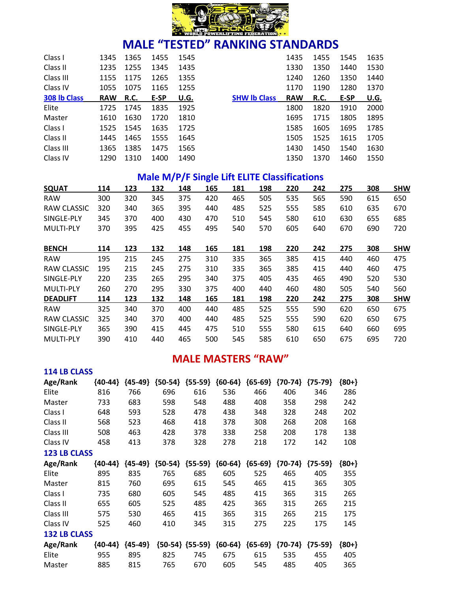

| Class I      | 1345       | 1365 | 1455 | 1545 |                     | 1435       | 1455        | 1545 | 1635 |
|--------------|------------|------|------|------|---------------------|------------|-------------|------|------|
| Class II     | 1235       | 1255 | 1345 | 1435 |                     | 1330       | 1350        | 1440 | 1530 |
| Class III    | 1155       | 1175 | 1265 | 1355 |                     | 1240       | 1260        | 1350 | 1440 |
| Class IV     | 1055       | 1075 | 1165 | 1255 |                     | 1170       | 1190        | 1280 | 1370 |
| 308 lb Class | <b>RAW</b> | R.C. | E-SP | U.G. | <b>SHW Ib Class</b> | <b>RAW</b> | <b>R.C.</b> | E-SP | U.G. |
| Elite        | 1725       | 1745 | 1835 | 1925 |                     | 1800       | 1820        | 1910 | 2000 |
| Master       | 1610       | 1630 | 1720 | 1810 |                     | 1695       | 1715        | 1805 | 1895 |
| Class I      | 1525       | 1545 | 1635 | 1725 |                     | 1585       | 1605        | 1695 | 1785 |
| Class II     | 1445       | 1465 | 1555 | 1645 |                     | 1505       | 1525        | 1615 | 1705 |
| Class III    | 1365       | 1385 | 1475 | 1565 |                     | 1430       | 1450        | 1540 | 1630 |
| Class IV     | 1290       | 1310 | 1400 | 1490 |                     | 1350       | 1370        | 1460 | 1550 |

#### **Male M/P/F Single Lift ELITE Classifications**

| <b>SQUAT</b>       | 114 | 123 | 132 | 148 | 165 | 181 | 198 | 220 | 242 | 275 | 308 | <b>SHW</b> |
|--------------------|-----|-----|-----|-----|-----|-----|-----|-----|-----|-----|-----|------------|
| <b>RAW</b>         | 300 | 320 | 345 | 375 | 420 | 465 | 505 | 535 | 565 | 590 | 615 | 650        |
| RAW CLASSIC        | 320 | 340 | 365 | 395 | 440 | 485 | 525 | 555 | 585 | 610 | 635 | 670        |
| SINGLE-PLY         | 345 | 370 | 400 | 430 | 470 | 510 | 545 | 580 | 610 | 630 | 655 | 685        |
| <b>MULTI-PLY</b>   | 370 | 395 | 425 | 455 | 495 | 540 | 570 | 605 | 640 | 670 | 690 | 720        |
| <b>BENCH</b>       | 114 | 123 | 132 | 148 | 165 | 181 | 198 | 220 | 242 | 275 | 308 | <b>SHW</b> |
| <b>RAW</b>         | 195 | 215 | 245 | 275 | 310 | 335 | 365 | 385 | 415 | 440 | 460 | 475        |
| RAW CLASSIC        | 195 | 215 | 245 | 275 | 310 | 335 | 365 | 385 | 415 | 440 | 460 | 475        |
| SINGLE-PLY         | 220 | 235 | 265 | 295 | 340 | 375 | 405 | 435 | 465 | 490 | 520 | 530        |
| <b>MULTI-PLY</b>   | 260 | 270 | 295 | 330 | 375 | 400 | 440 | 460 | 480 | 505 | 540 | 560        |
| <b>DEADLIFT</b>    | 114 | 123 | 132 | 148 | 165 | 181 | 198 | 220 | 242 | 275 | 308 | <b>SHW</b> |
| <b>RAW</b>         | 325 | 340 | 370 | 400 | 440 | 485 | 525 | 555 | 590 | 620 | 650 | 675        |
| <b>RAW CLASSIC</b> | 325 | 340 | 370 | 400 | 440 | 485 | 525 | 555 | 590 | 620 | 650 | 675        |
| SINGLE-PLY         | 365 | 390 | 415 | 445 | 475 | 510 | 555 | 580 | 615 | 640 | 660 | 695        |
| <b>MULTI-PLY</b>   | 390 | 410 | 440 | 465 | 500 | 545 | 585 | 610 | 650 | 675 | 695 | 720        |
|                    |     |     |     |     |     |     |     |     |     |     |     |            |

#### **MALE MASTERS "RAW"**

| <b>114 LB CLASS</b> |           |           |           |                     |           |           |           |           |         |
|---------------------|-----------|-----------|-----------|---------------------|-----------|-----------|-----------|-----------|---------|
| Age/Rank            | ${40-44}$ | ${45-49}$ | ${50-54}$ | ${55-59}$           | ${60-64}$ | ${65-69}$ | ${70-74}$ | ${75-79}$ | ${80+}$ |
| Elite               | 816       | 766       | 696       | 616                 | 536       | 466       | 406       | 346       | 286     |
| Master              | 733       | 683       | 598       | 548                 | 488       | 408       | 358       | 298       | 242     |
| Class I             | 648       | 593       | 528       | 478                 | 438       | 348       | 328       | 248       | 202     |
| Class II            | 568       | 523       | 468       | 418                 | 378       | 308       | 268       | 208       | 168     |
| Class III           | 508       | 463       | 428       | 378                 | 338       | 258       | 208       | 178       | 138     |
| Class IV            | 458       | 413       | 378       | 328                 | 278       | 218       | 172       | 142       | 108     |
| <b>123 LB CLASS</b> |           |           |           |                     |           |           |           |           |         |
| Age/Rank            | ${40-44}$ | ${45-49}$ | ${50-54}$ | ${55-59}$           | ${60-64}$ | ${65-69}$ | ${70-74}$ | ${75-59}$ | ${80+}$ |
| Elite               | 895       | 835       | 765       | 685                 | 605       | 525       | 465       | 405       | 355     |
| Master              | 815       | 760       | 695       | 615                 | 545       | 465       | 415       | 365       | 305     |
| Class I             | 735       | 680       | 605       | 545                 | 485       | 415       | 365       | 315       | 265     |
| Class II            | 655       | 605       | 525       | 485                 | 425       | 365       | 315       | 265       | 215     |
| Class III           | 575       | 530       | 465       | 415                 | 365       | 315       | 265       | 215       | 175     |
| Class IV            | 525       | 460       | 410       | 345                 | 315       | 275       | 225       | 175       | 145     |
| <b>132 LB CLASS</b> |           |           |           |                     |           |           |           |           |         |
| Age/Rank            | ${40-44}$ | ${45-49}$ |           | ${50-54}$ ${55-59}$ | ${60-64}$ | ${65-69}$ | ${70-74}$ | ${75-59}$ | ${80+}$ |
| Elite               | 955       | 895       | 825       | 745                 | 675       | 615       | 535       | 455       | 405     |
| Master              | 885       | 815       | 765       | 670                 | 605       | 545       | 485       | 405       | 365     |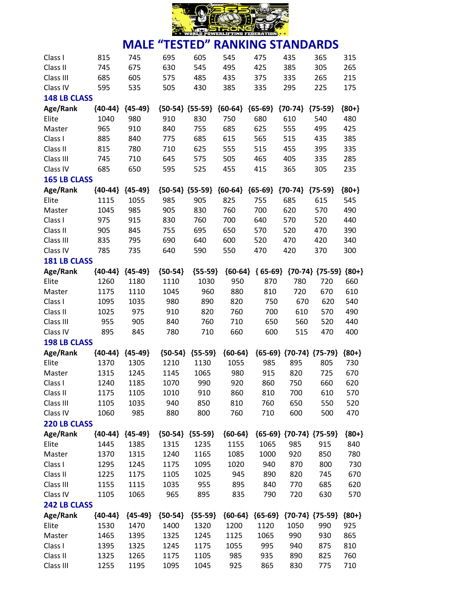

| 630<br>745<br>675<br>545<br>495<br>425<br>385<br>305<br>265<br>Class II<br>215<br>685<br>605<br>575<br>485<br>435<br>335<br>265<br>Class III<br>375<br>595<br>385<br>335<br>295<br>175<br>Class IV<br>535<br>505<br>430<br>225<br><b>148 LB CLASS</b><br>${80+}$<br>Age/Rank<br>${40-44}$<br>${45-49}$<br>${50-54}$ ${55-59}$<br>${60-64}$<br>${65-69}$<br>${70-74}$<br>${75-59}$<br>1040<br>980<br>830<br>750<br>680<br>610<br>480<br>Elite<br>910<br>540<br>965<br>910<br>840<br>755<br>685<br>625<br>555<br>425<br>Master<br>495<br>840<br>685<br>615<br>565<br>515<br>385<br>Class I<br>885<br>775<br>435<br>815<br>780<br>710<br>625<br>555<br>515<br>455<br>395<br>335<br>Class II<br>285<br>505<br>Class III<br>745<br>710<br>645<br>575<br>465<br>405<br>335<br>685<br>525<br>455<br>365<br>235<br>Class IV<br>650<br>595<br>415<br>305<br><b>165 LB CLASS</b><br>Age/Rank<br>${40-44}$<br>${45-49}$<br>${50-54} {55-59}$<br>${60-64}$<br>${65-69}$<br>${70-74}$<br>${75-59}$<br>${80+}$<br>1115<br>985<br>905<br>825<br>685<br>615<br>545<br>Elite<br>1055<br>755<br>1045<br>985<br>905<br>830<br>760<br>700<br>620<br>570<br>490<br>Master<br>975<br>915<br>830<br>760<br>700<br>640<br>570<br>520<br>440<br>Class I<br>905<br>845<br>755<br>695<br>650<br>520<br>390<br>Class II<br>570<br>470<br>835<br>795<br>690<br>640<br>600<br>340<br>Class III<br>520<br>470<br>420<br>785<br>735<br>550<br>300<br>Class IV<br>640<br>590<br>470<br>420<br>370<br><b>181 LB CLASS</b><br>${65-69}$ ${70-74}$ ${75-59}$ ${80+}$<br>Age/Rank<br>${40-44}$<br>${45-49}$<br>${50-54}$<br>${55-59}$<br>${60-64}$<br>870<br>720<br>Elite<br>1260<br>1180<br>1110<br>1030<br>950<br>780<br>660<br>960<br>880<br>810<br>720<br>610<br>1175<br>1110<br>1045<br>670<br>Master<br>1095<br>1035<br>980<br>890<br>820<br>670<br>620<br>540<br>Class I<br>750<br>975<br>910<br>820<br>610<br>490<br>Class II<br>1025<br>760<br>700<br>570<br>760<br>520<br>Class III<br>955<br>905<br>840<br>710<br>650<br>560<br>440<br>660<br>Class IV<br>895<br>845<br>780<br>710<br>600<br>515<br>470<br>400<br><b>198 LB CLASS</b><br>Age/Rank<br>${40-44}$<br>${45-49}$<br>${50-54}$<br>${55-59}$<br>${60-64}$<br>${65-69}$ ${70-74}$ ${75-79}$<br>${80+}$<br>Elite<br>1370<br>1305<br>1210<br>1130<br>1055<br>985<br>895<br>805<br>730<br>1315<br>1145<br>1065<br>980<br>915<br>820<br>725<br>670<br>Master<br>1245<br>990<br>Class I<br>1240<br>1185<br>1070<br>920<br>860<br>750<br>660<br>620<br>Class II<br>1175<br>1105<br>1010<br>910<br>860<br>810<br>700<br>610<br>570<br>Class III<br>1035<br>940<br>850<br>810<br>760<br>650<br>550<br>520<br>1105<br>Class IV<br>985<br>880<br>800<br>760<br>600<br>500<br>470<br>1060<br>710<br>220 LB CLASS<br>Age/Rank<br>${65-69}$ ${70-74}$ ${75-59}$<br>${40-44}$ ${45-49}$<br>${50-54} {55-59}$<br>${60-64}$<br>${80+}$<br>Elite<br>840<br>1445<br>1385<br>1315<br>1235<br>1155<br>1065<br>985<br>915<br>1315<br>1240<br>1165<br>1000<br>920<br>850<br>780<br>Master<br>1370<br>1085<br>800<br>Class I<br>1295<br>1245<br>1175<br>1095<br>1020<br>940<br>870<br>730<br>890<br>820<br>Class II<br>1225<br>1175<br>1105<br>1025<br>945<br>745<br>670<br>Class III<br>955<br>840<br>770<br>685<br>620<br>1155<br>1115<br>1035<br>895<br>1065<br>965<br>895<br>835<br>790<br>720<br>630<br>570<br>Class IV<br>1105<br><b>242 LB CLASS</b><br>Age/Rank<br>${45-49}$<br>${50-54}$<br>${55-59}$<br>${60-64}$ ${65-69}$ ${70-74}$ ${75-59}$<br>${40-44}$<br>${80+}$<br>Elite<br>1200<br>1530<br>1470<br>1400<br>1320<br>1120<br>1050<br>990<br>925<br>865<br>1395<br>1325<br>1245<br>1065<br>990<br>930<br>Master<br>1465<br>1125<br>995<br>810<br>Class I<br>1395<br>1325<br>1245<br>1175<br>1055<br>940<br>875<br>Class II<br>1105<br>985<br>935<br>890<br>825<br>760<br>1325<br>1265<br>1175 | Class I   | 815  | 745  | 695  | 605  | 545 | 475 | 435 | 365 | 315 |
|----------------------------------------------------------------------------------------------------------------------------------------------------------------------------------------------------------------------------------------------------------------------------------------------------------------------------------------------------------------------------------------------------------------------------------------------------------------------------------------------------------------------------------------------------------------------------------------------------------------------------------------------------------------------------------------------------------------------------------------------------------------------------------------------------------------------------------------------------------------------------------------------------------------------------------------------------------------------------------------------------------------------------------------------------------------------------------------------------------------------------------------------------------------------------------------------------------------------------------------------------------------------------------------------------------------------------------------------------------------------------------------------------------------------------------------------------------------------------------------------------------------------------------------------------------------------------------------------------------------------------------------------------------------------------------------------------------------------------------------------------------------------------------------------------------------------------------------------------------------------------------------------------------------------------------------------------------------------------------------------------------------------------------------------------------------------------------------------------------------------------------------------------------------------------------------------------------------------------------------------------------------------------------------------------------------------------------------------------------------------------------------------------------------------------------------------------------------------------------------------------------------------------------------------------------------------------------------------------------------------------------------------------------------------------------------------------------------------------------------------------------------------------------------------------------------------------------------------------------------------------------------------------------------------------------------------------------------------------------------------------------------------------------------------------------------------------------------------------------------------------------------------------------------------------------------------------------------------------------------------------------------------------------------------------------------------------------------------------------------------------------------------------------------------------------------------------------------------------------------------------------------------------------------------------------------------------------------------------------------------------------------------------------------------------------------------------------------------------------------------------------------------------------------------------------------------|-----------|------|------|------|------|-----|-----|-----|-----|-----|
|                                                                                                                                                                                                                                                                                                                                                                                                                                                                                                                                                                                                                                                                                                                                                                                                                                                                                                                                                                                                                                                                                                                                                                                                                                                                                                                                                                                                                                                                                                                                                                                                                                                                                                                                                                                                                                                                                                                                                                                                                                                                                                                                                                                                                                                                                                                                                                                                                                                                                                                                                                                                                                                                                                                                                                                                                                                                                                                                                                                                                                                                                                                                                                                                                                                                                                                                                                                                                                                                                                                                                                                                                                                                                                                                                                                                                      |           |      |      |      |      |     |     |     |     |     |
|                                                                                                                                                                                                                                                                                                                                                                                                                                                                                                                                                                                                                                                                                                                                                                                                                                                                                                                                                                                                                                                                                                                                                                                                                                                                                                                                                                                                                                                                                                                                                                                                                                                                                                                                                                                                                                                                                                                                                                                                                                                                                                                                                                                                                                                                                                                                                                                                                                                                                                                                                                                                                                                                                                                                                                                                                                                                                                                                                                                                                                                                                                                                                                                                                                                                                                                                                                                                                                                                                                                                                                                                                                                                                                                                                                                                                      |           |      |      |      |      |     |     |     |     |     |
|                                                                                                                                                                                                                                                                                                                                                                                                                                                                                                                                                                                                                                                                                                                                                                                                                                                                                                                                                                                                                                                                                                                                                                                                                                                                                                                                                                                                                                                                                                                                                                                                                                                                                                                                                                                                                                                                                                                                                                                                                                                                                                                                                                                                                                                                                                                                                                                                                                                                                                                                                                                                                                                                                                                                                                                                                                                                                                                                                                                                                                                                                                                                                                                                                                                                                                                                                                                                                                                                                                                                                                                                                                                                                                                                                                                                                      |           |      |      |      |      |     |     |     |     |     |
|                                                                                                                                                                                                                                                                                                                                                                                                                                                                                                                                                                                                                                                                                                                                                                                                                                                                                                                                                                                                                                                                                                                                                                                                                                                                                                                                                                                                                                                                                                                                                                                                                                                                                                                                                                                                                                                                                                                                                                                                                                                                                                                                                                                                                                                                                                                                                                                                                                                                                                                                                                                                                                                                                                                                                                                                                                                                                                                                                                                                                                                                                                                                                                                                                                                                                                                                                                                                                                                                                                                                                                                                                                                                                                                                                                                                                      |           |      |      |      |      |     |     |     |     |     |
|                                                                                                                                                                                                                                                                                                                                                                                                                                                                                                                                                                                                                                                                                                                                                                                                                                                                                                                                                                                                                                                                                                                                                                                                                                                                                                                                                                                                                                                                                                                                                                                                                                                                                                                                                                                                                                                                                                                                                                                                                                                                                                                                                                                                                                                                                                                                                                                                                                                                                                                                                                                                                                                                                                                                                                                                                                                                                                                                                                                                                                                                                                                                                                                                                                                                                                                                                                                                                                                                                                                                                                                                                                                                                                                                                                                                                      |           |      |      |      |      |     |     |     |     |     |
|                                                                                                                                                                                                                                                                                                                                                                                                                                                                                                                                                                                                                                                                                                                                                                                                                                                                                                                                                                                                                                                                                                                                                                                                                                                                                                                                                                                                                                                                                                                                                                                                                                                                                                                                                                                                                                                                                                                                                                                                                                                                                                                                                                                                                                                                                                                                                                                                                                                                                                                                                                                                                                                                                                                                                                                                                                                                                                                                                                                                                                                                                                                                                                                                                                                                                                                                                                                                                                                                                                                                                                                                                                                                                                                                                                                                                      |           |      |      |      |      |     |     |     |     |     |
|                                                                                                                                                                                                                                                                                                                                                                                                                                                                                                                                                                                                                                                                                                                                                                                                                                                                                                                                                                                                                                                                                                                                                                                                                                                                                                                                                                                                                                                                                                                                                                                                                                                                                                                                                                                                                                                                                                                                                                                                                                                                                                                                                                                                                                                                                                                                                                                                                                                                                                                                                                                                                                                                                                                                                                                                                                                                                                                                                                                                                                                                                                                                                                                                                                                                                                                                                                                                                                                                                                                                                                                                                                                                                                                                                                                                                      |           |      |      |      |      |     |     |     |     |     |
|                                                                                                                                                                                                                                                                                                                                                                                                                                                                                                                                                                                                                                                                                                                                                                                                                                                                                                                                                                                                                                                                                                                                                                                                                                                                                                                                                                                                                                                                                                                                                                                                                                                                                                                                                                                                                                                                                                                                                                                                                                                                                                                                                                                                                                                                                                                                                                                                                                                                                                                                                                                                                                                                                                                                                                                                                                                                                                                                                                                                                                                                                                                                                                                                                                                                                                                                                                                                                                                                                                                                                                                                                                                                                                                                                                                                                      |           |      |      |      |      |     |     |     |     |     |
|                                                                                                                                                                                                                                                                                                                                                                                                                                                                                                                                                                                                                                                                                                                                                                                                                                                                                                                                                                                                                                                                                                                                                                                                                                                                                                                                                                                                                                                                                                                                                                                                                                                                                                                                                                                                                                                                                                                                                                                                                                                                                                                                                                                                                                                                                                                                                                                                                                                                                                                                                                                                                                                                                                                                                                                                                                                                                                                                                                                                                                                                                                                                                                                                                                                                                                                                                                                                                                                                                                                                                                                                                                                                                                                                                                                                                      |           |      |      |      |      |     |     |     |     |     |
|                                                                                                                                                                                                                                                                                                                                                                                                                                                                                                                                                                                                                                                                                                                                                                                                                                                                                                                                                                                                                                                                                                                                                                                                                                                                                                                                                                                                                                                                                                                                                                                                                                                                                                                                                                                                                                                                                                                                                                                                                                                                                                                                                                                                                                                                                                                                                                                                                                                                                                                                                                                                                                                                                                                                                                                                                                                                                                                                                                                                                                                                                                                                                                                                                                                                                                                                                                                                                                                                                                                                                                                                                                                                                                                                                                                                                      |           |      |      |      |      |     |     |     |     |     |
|                                                                                                                                                                                                                                                                                                                                                                                                                                                                                                                                                                                                                                                                                                                                                                                                                                                                                                                                                                                                                                                                                                                                                                                                                                                                                                                                                                                                                                                                                                                                                                                                                                                                                                                                                                                                                                                                                                                                                                                                                                                                                                                                                                                                                                                                                                                                                                                                                                                                                                                                                                                                                                                                                                                                                                                                                                                                                                                                                                                                                                                                                                                                                                                                                                                                                                                                                                                                                                                                                                                                                                                                                                                                                                                                                                                                                      |           |      |      |      |      |     |     |     |     |     |
|                                                                                                                                                                                                                                                                                                                                                                                                                                                                                                                                                                                                                                                                                                                                                                                                                                                                                                                                                                                                                                                                                                                                                                                                                                                                                                                                                                                                                                                                                                                                                                                                                                                                                                                                                                                                                                                                                                                                                                                                                                                                                                                                                                                                                                                                                                                                                                                                                                                                                                                                                                                                                                                                                                                                                                                                                                                                                                                                                                                                                                                                                                                                                                                                                                                                                                                                                                                                                                                                                                                                                                                                                                                                                                                                                                                                                      |           |      |      |      |      |     |     |     |     |     |
|                                                                                                                                                                                                                                                                                                                                                                                                                                                                                                                                                                                                                                                                                                                                                                                                                                                                                                                                                                                                                                                                                                                                                                                                                                                                                                                                                                                                                                                                                                                                                                                                                                                                                                                                                                                                                                                                                                                                                                                                                                                                                                                                                                                                                                                                                                                                                                                                                                                                                                                                                                                                                                                                                                                                                                                                                                                                                                                                                                                                                                                                                                                                                                                                                                                                                                                                                                                                                                                                                                                                                                                                                                                                                                                                                                                                                      |           |      |      |      |      |     |     |     |     |     |
|                                                                                                                                                                                                                                                                                                                                                                                                                                                                                                                                                                                                                                                                                                                                                                                                                                                                                                                                                                                                                                                                                                                                                                                                                                                                                                                                                                                                                                                                                                                                                                                                                                                                                                                                                                                                                                                                                                                                                                                                                                                                                                                                                                                                                                                                                                                                                                                                                                                                                                                                                                                                                                                                                                                                                                                                                                                                                                                                                                                                                                                                                                                                                                                                                                                                                                                                                                                                                                                                                                                                                                                                                                                                                                                                                                                                                      |           |      |      |      |      |     |     |     |     |     |
|                                                                                                                                                                                                                                                                                                                                                                                                                                                                                                                                                                                                                                                                                                                                                                                                                                                                                                                                                                                                                                                                                                                                                                                                                                                                                                                                                                                                                                                                                                                                                                                                                                                                                                                                                                                                                                                                                                                                                                                                                                                                                                                                                                                                                                                                                                                                                                                                                                                                                                                                                                                                                                                                                                                                                                                                                                                                                                                                                                                                                                                                                                                                                                                                                                                                                                                                                                                                                                                                                                                                                                                                                                                                                                                                                                                                                      |           |      |      |      |      |     |     |     |     |     |
|                                                                                                                                                                                                                                                                                                                                                                                                                                                                                                                                                                                                                                                                                                                                                                                                                                                                                                                                                                                                                                                                                                                                                                                                                                                                                                                                                                                                                                                                                                                                                                                                                                                                                                                                                                                                                                                                                                                                                                                                                                                                                                                                                                                                                                                                                                                                                                                                                                                                                                                                                                                                                                                                                                                                                                                                                                                                                                                                                                                                                                                                                                                                                                                                                                                                                                                                                                                                                                                                                                                                                                                                                                                                                                                                                                                                                      |           |      |      |      |      |     |     |     |     |     |
|                                                                                                                                                                                                                                                                                                                                                                                                                                                                                                                                                                                                                                                                                                                                                                                                                                                                                                                                                                                                                                                                                                                                                                                                                                                                                                                                                                                                                                                                                                                                                                                                                                                                                                                                                                                                                                                                                                                                                                                                                                                                                                                                                                                                                                                                                                                                                                                                                                                                                                                                                                                                                                                                                                                                                                                                                                                                                                                                                                                                                                                                                                                                                                                                                                                                                                                                                                                                                                                                                                                                                                                                                                                                                                                                                                                                                      |           |      |      |      |      |     |     |     |     |     |
|                                                                                                                                                                                                                                                                                                                                                                                                                                                                                                                                                                                                                                                                                                                                                                                                                                                                                                                                                                                                                                                                                                                                                                                                                                                                                                                                                                                                                                                                                                                                                                                                                                                                                                                                                                                                                                                                                                                                                                                                                                                                                                                                                                                                                                                                                                                                                                                                                                                                                                                                                                                                                                                                                                                                                                                                                                                                                                                                                                                                                                                                                                                                                                                                                                                                                                                                                                                                                                                                                                                                                                                                                                                                                                                                                                                                                      |           |      |      |      |      |     |     |     |     |     |
|                                                                                                                                                                                                                                                                                                                                                                                                                                                                                                                                                                                                                                                                                                                                                                                                                                                                                                                                                                                                                                                                                                                                                                                                                                                                                                                                                                                                                                                                                                                                                                                                                                                                                                                                                                                                                                                                                                                                                                                                                                                                                                                                                                                                                                                                                                                                                                                                                                                                                                                                                                                                                                                                                                                                                                                                                                                                                                                                                                                                                                                                                                                                                                                                                                                                                                                                                                                                                                                                                                                                                                                                                                                                                                                                                                                                                      |           |      |      |      |      |     |     |     |     |     |
|                                                                                                                                                                                                                                                                                                                                                                                                                                                                                                                                                                                                                                                                                                                                                                                                                                                                                                                                                                                                                                                                                                                                                                                                                                                                                                                                                                                                                                                                                                                                                                                                                                                                                                                                                                                                                                                                                                                                                                                                                                                                                                                                                                                                                                                                                                                                                                                                                                                                                                                                                                                                                                                                                                                                                                                                                                                                                                                                                                                                                                                                                                                                                                                                                                                                                                                                                                                                                                                                                                                                                                                                                                                                                                                                                                                                                      |           |      |      |      |      |     |     |     |     |     |
|                                                                                                                                                                                                                                                                                                                                                                                                                                                                                                                                                                                                                                                                                                                                                                                                                                                                                                                                                                                                                                                                                                                                                                                                                                                                                                                                                                                                                                                                                                                                                                                                                                                                                                                                                                                                                                                                                                                                                                                                                                                                                                                                                                                                                                                                                                                                                                                                                                                                                                                                                                                                                                                                                                                                                                                                                                                                                                                                                                                                                                                                                                                                                                                                                                                                                                                                                                                                                                                                                                                                                                                                                                                                                                                                                                                                                      |           |      |      |      |      |     |     |     |     |     |
|                                                                                                                                                                                                                                                                                                                                                                                                                                                                                                                                                                                                                                                                                                                                                                                                                                                                                                                                                                                                                                                                                                                                                                                                                                                                                                                                                                                                                                                                                                                                                                                                                                                                                                                                                                                                                                                                                                                                                                                                                                                                                                                                                                                                                                                                                                                                                                                                                                                                                                                                                                                                                                                                                                                                                                                                                                                                                                                                                                                                                                                                                                                                                                                                                                                                                                                                                                                                                                                                                                                                                                                                                                                                                                                                                                                                                      |           |      |      |      |      |     |     |     |     |     |
|                                                                                                                                                                                                                                                                                                                                                                                                                                                                                                                                                                                                                                                                                                                                                                                                                                                                                                                                                                                                                                                                                                                                                                                                                                                                                                                                                                                                                                                                                                                                                                                                                                                                                                                                                                                                                                                                                                                                                                                                                                                                                                                                                                                                                                                                                                                                                                                                                                                                                                                                                                                                                                                                                                                                                                                                                                                                                                                                                                                                                                                                                                                                                                                                                                                                                                                                                                                                                                                                                                                                                                                                                                                                                                                                                                                                                      |           |      |      |      |      |     |     |     |     |     |
|                                                                                                                                                                                                                                                                                                                                                                                                                                                                                                                                                                                                                                                                                                                                                                                                                                                                                                                                                                                                                                                                                                                                                                                                                                                                                                                                                                                                                                                                                                                                                                                                                                                                                                                                                                                                                                                                                                                                                                                                                                                                                                                                                                                                                                                                                                                                                                                                                                                                                                                                                                                                                                                                                                                                                                                                                                                                                                                                                                                                                                                                                                                                                                                                                                                                                                                                                                                                                                                                                                                                                                                                                                                                                                                                                                                                                      |           |      |      |      |      |     |     |     |     |     |
|                                                                                                                                                                                                                                                                                                                                                                                                                                                                                                                                                                                                                                                                                                                                                                                                                                                                                                                                                                                                                                                                                                                                                                                                                                                                                                                                                                                                                                                                                                                                                                                                                                                                                                                                                                                                                                                                                                                                                                                                                                                                                                                                                                                                                                                                                                                                                                                                                                                                                                                                                                                                                                                                                                                                                                                                                                                                                                                                                                                                                                                                                                                                                                                                                                                                                                                                                                                                                                                                                                                                                                                                                                                                                                                                                                                                                      |           |      |      |      |      |     |     |     |     |     |
|                                                                                                                                                                                                                                                                                                                                                                                                                                                                                                                                                                                                                                                                                                                                                                                                                                                                                                                                                                                                                                                                                                                                                                                                                                                                                                                                                                                                                                                                                                                                                                                                                                                                                                                                                                                                                                                                                                                                                                                                                                                                                                                                                                                                                                                                                                                                                                                                                                                                                                                                                                                                                                                                                                                                                                                                                                                                                                                                                                                                                                                                                                                                                                                                                                                                                                                                                                                                                                                                                                                                                                                                                                                                                                                                                                                                                      |           |      |      |      |      |     |     |     |     |     |
|                                                                                                                                                                                                                                                                                                                                                                                                                                                                                                                                                                                                                                                                                                                                                                                                                                                                                                                                                                                                                                                                                                                                                                                                                                                                                                                                                                                                                                                                                                                                                                                                                                                                                                                                                                                                                                                                                                                                                                                                                                                                                                                                                                                                                                                                                                                                                                                                                                                                                                                                                                                                                                                                                                                                                                                                                                                                                                                                                                                                                                                                                                                                                                                                                                                                                                                                                                                                                                                                                                                                                                                                                                                                                                                                                                                                                      |           |      |      |      |      |     |     |     |     |     |
|                                                                                                                                                                                                                                                                                                                                                                                                                                                                                                                                                                                                                                                                                                                                                                                                                                                                                                                                                                                                                                                                                                                                                                                                                                                                                                                                                                                                                                                                                                                                                                                                                                                                                                                                                                                                                                                                                                                                                                                                                                                                                                                                                                                                                                                                                                                                                                                                                                                                                                                                                                                                                                                                                                                                                                                                                                                                                                                                                                                                                                                                                                                                                                                                                                                                                                                                                                                                                                                                                                                                                                                                                                                                                                                                                                                                                      |           |      |      |      |      |     |     |     |     |     |
|                                                                                                                                                                                                                                                                                                                                                                                                                                                                                                                                                                                                                                                                                                                                                                                                                                                                                                                                                                                                                                                                                                                                                                                                                                                                                                                                                                                                                                                                                                                                                                                                                                                                                                                                                                                                                                                                                                                                                                                                                                                                                                                                                                                                                                                                                                                                                                                                                                                                                                                                                                                                                                                                                                                                                                                                                                                                                                                                                                                                                                                                                                                                                                                                                                                                                                                                                                                                                                                                                                                                                                                                                                                                                                                                                                                                                      |           |      |      |      |      |     |     |     |     |     |
|                                                                                                                                                                                                                                                                                                                                                                                                                                                                                                                                                                                                                                                                                                                                                                                                                                                                                                                                                                                                                                                                                                                                                                                                                                                                                                                                                                                                                                                                                                                                                                                                                                                                                                                                                                                                                                                                                                                                                                                                                                                                                                                                                                                                                                                                                                                                                                                                                                                                                                                                                                                                                                                                                                                                                                                                                                                                                                                                                                                                                                                                                                                                                                                                                                                                                                                                                                                                                                                                                                                                                                                                                                                                                                                                                                                                                      |           |      |      |      |      |     |     |     |     |     |
|                                                                                                                                                                                                                                                                                                                                                                                                                                                                                                                                                                                                                                                                                                                                                                                                                                                                                                                                                                                                                                                                                                                                                                                                                                                                                                                                                                                                                                                                                                                                                                                                                                                                                                                                                                                                                                                                                                                                                                                                                                                                                                                                                                                                                                                                                                                                                                                                                                                                                                                                                                                                                                                                                                                                                                                                                                                                                                                                                                                                                                                                                                                                                                                                                                                                                                                                                                                                                                                                                                                                                                                                                                                                                                                                                                                                                      |           |      |      |      |      |     |     |     |     |     |
|                                                                                                                                                                                                                                                                                                                                                                                                                                                                                                                                                                                                                                                                                                                                                                                                                                                                                                                                                                                                                                                                                                                                                                                                                                                                                                                                                                                                                                                                                                                                                                                                                                                                                                                                                                                                                                                                                                                                                                                                                                                                                                                                                                                                                                                                                                                                                                                                                                                                                                                                                                                                                                                                                                                                                                                                                                                                                                                                                                                                                                                                                                                                                                                                                                                                                                                                                                                                                                                                                                                                                                                                                                                                                                                                                                                                                      |           |      |      |      |      |     |     |     |     |     |
|                                                                                                                                                                                                                                                                                                                                                                                                                                                                                                                                                                                                                                                                                                                                                                                                                                                                                                                                                                                                                                                                                                                                                                                                                                                                                                                                                                                                                                                                                                                                                                                                                                                                                                                                                                                                                                                                                                                                                                                                                                                                                                                                                                                                                                                                                                                                                                                                                                                                                                                                                                                                                                                                                                                                                                                                                                                                                                                                                                                                                                                                                                                                                                                                                                                                                                                                                                                                                                                                                                                                                                                                                                                                                                                                                                                                                      |           |      |      |      |      |     |     |     |     |     |
|                                                                                                                                                                                                                                                                                                                                                                                                                                                                                                                                                                                                                                                                                                                                                                                                                                                                                                                                                                                                                                                                                                                                                                                                                                                                                                                                                                                                                                                                                                                                                                                                                                                                                                                                                                                                                                                                                                                                                                                                                                                                                                                                                                                                                                                                                                                                                                                                                                                                                                                                                                                                                                                                                                                                                                                                                                                                                                                                                                                                                                                                                                                                                                                                                                                                                                                                                                                                                                                                                                                                                                                                                                                                                                                                                                                                                      |           |      |      |      |      |     |     |     |     |     |
|                                                                                                                                                                                                                                                                                                                                                                                                                                                                                                                                                                                                                                                                                                                                                                                                                                                                                                                                                                                                                                                                                                                                                                                                                                                                                                                                                                                                                                                                                                                                                                                                                                                                                                                                                                                                                                                                                                                                                                                                                                                                                                                                                                                                                                                                                                                                                                                                                                                                                                                                                                                                                                                                                                                                                                                                                                                                                                                                                                                                                                                                                                                                                                                                                                                                                                                                                                                                                                                                                                                                                                                                                                                                                                                                                                                                                      |           |      |      |      |      |     |     |     |     |     |
|                                                                                                                                                                                                                                                                                                                                                                                                                                                                                                                                                                                                                                                                                                                                                                                                                                                                                                                                                                                                                                                                                                                                                                                                                                                                                                                                                                                                                                                                                                                                                                                                                                                                                                                                                                                                                                                                                                                                                                                                                                                                                                                                                                                                                                                                                                                                                                                                                                                                                                                                                                                                                                                                                                                                                                                                                                                                                                                                                                                                                                                                                                                                                                                                                                                                                                                                                                                                                                                                                                                                                                                                                                                                                                                                                                                                                      |           |      |      |      |      |     |     |     |     |     |
|                                                                                                                                                                                                                                                                                                                                                                                                                                                                                                                                                                                                                                                                                                                                                                                                                                                                                                                                                                                                                                                                                                                                                                                                                                                                                                                                                                                                                                                                                                                                                                                                                                                                                                                                                                                                                                                                                                                                                                                                                                                                                                                                                                                                                                                                                                                                                                                                                                                                                                                                                                                                                                                                                                                                                                                                                                                                                                                                                                                                                                                                                                                                                                                                                                                                                                                                                                                                                                                                                                                                                                                                                                                                                                                                                                                                                      |           |      |      |      |      |     |     |     |     |     |
|                                                                                                                                                                                                                                                                                                                                                                                                                                                                                                                                                                                                                                                                                                                                                                                                                                                                                                                                                                                                                                                                                                                                                                                                                                                                                                                                                                                                                                                                                                                                                                                                                                                                                                                                                                                                                                                                                                                                                                                                                                                                                                                                                                                                                                                                                                                                                                                                                                                                                                                                                                                                                                                                                                                                                                                                                                                                                                                                                                                                                                                                                                                                                                                                                                                                                                                                                                                                                                                                                                                                                                                                                                                                                                                                                                                                                      |           |      |      |      |      |     |     |     |     |     |
|                                                                                                                                                                                                                                                                                                                                                                                                                                                                                                                                                                                                                                                                                                                                                                                                                                                                                                                                                                                                                                                                                                                                                                                                                                                                                                                                                                                                                                                                                                                                                                                                                                                                                                                                                                                                                                                                                                                                                                                                                                                                                                                                                                                                                                                                                                                                                                                                                                                                                                                                                                                                                                                                                                                                                                                                                                                                                                                                                                                                                                                                                                                                                                                                                                                                                                                                                                                                                                                                                                                                                                                                                                                                                                                                                                                                                      |           |      |      |      |      |     |     |     |     |     |
|                                                                                                                                                                                                                                                                                                                                                                                                                                                                                                                                                                                                                                                                                                                                                                                                                                                                                                                                                                                                                                                                                                                                                                                                                                                                                                                                                                                                                                                                                                                                                                                                                                                                                                                                                                                                                                                                                                                                                                                                                                                                                                                                                                                                                                                                                                                                                                                                                                                                                                                                                                                                                                                                                                                                                                                                                                                                                                                                                                                                                                                                                                                                                                                                                                                                                                                                                                                                                                                                                                                                                                                                                                                                                                                                                                                                                      |           |      |      |      |      |     |     |     |     |     |
|                                                                                                                                                                                                                                                                                                                                                                                                                                                                                                                                                                                                                                                                                                                                                                                                                                                                                                                                                                                                                                                                                                                                                                                                                                                                                                                                                                                                                                                                                                                                                                                                                                                                                                                                                                                                                                                                                                                                                                                                                                                                                                                                                                                                                                                                                                                                                                                                                                                                                                                                                                                                                                                                                                                                                                                                                                                                                                                                                                                                                                                                                                                                                                                                                                                                                                                                                                                                                                                                                                                                                                                                                                                                                                                                                                                                                      |           |      |      |      |      |     |     |     |     |     |
|                                                                                                                                                                                                                                                                                                                                                                                                                                                                                                                                                                                                                                                                                                                                                                                                                                                                                                                                                                                                                                                                                                                                                                                                                                                                                                                                                                                                                                                                                                                                                                                                                                                                                                                                                                                                                                                                                                                                                                                                                                                                                                                                                                                                                                                                                                                                                                                                                                                                                                                                                                                                                                                                                                                                                                                                                                                                                                                                                                                                                                                                                                                                                                                                                                                                                                                                                                                                                                                                                                                                                                                                                                                                                                                                                                                                                      |           |      |      |      |      |     |     |     |     |     |
|                                                                                                                                                                                                                                                                                                                                                                                                                                                                                                                                                                                                                                                                                                                                                                                                                                                                                                                                                                                                                                                                                                                                                                                                                                                                                                                                                                                                                                                                                                                                                                                                                                                                                                                                                                                                                                                                                                                                                                                                                                                                                                                                                                                                                                                                                                                                                                                                                                                                                                                                                                                                                                                                                                                                                                                                                                                                                                                                                                                                                                                                                                                                                                                                                                                                                                                                                                                                                                                                                                                                                                                                                                                                                                                                                                                                                      |           |      |      |      |      |     |     |     |     |     |
|                                                                                                                                                                                                                                                                                                                                                                                                                                                                                                                                                                                                                                                                                                                                                                                                                                                                                                                                                                                                                                                                                                                                                                                                                                                                                                                                                                                                                                                                                                                                                                                                                                                                                                                                                                                                                                                                                                                                                                                                                                                                                                                                                                                                                                                                                                                                                                                                                                                                                                                                                                                                                                                                                                                                                                                                                                                                                                                                                                                                                                                                                                                                                                                                                                                                                                                                                                                                                                                                                                                                                                                                                                                                                                                                                                                                                      |           |      |      |      |      |     |     |     |     |     |
|                                                                                                                                                                                                                                                                                                                                                                                                                                                                                                                                                                                                                                                                                                                                                                                                                                                                                                                                                                                                                                                                                                                                                                                                                                                                                                                                                                                                                                                                                                                                                                                                                                                                                                                                                                                                                                                                                                                                                                                                                                                                                                                                                                                                                                                                                                                                                                                                                                                                                                                                                                                                                                                                                                                                                                                                                                                                                                                                                                                                                                                                                                                                                                                                                                                                                                                                                                                                                                                                                                                                                                                                                                                                                                                                                                                                                      |           |      |      |      |      |     |     |     |     |     |
|                                                                                                                                                                                                                                                                                                                                                                                                                                                                                                                                                                                                                                                                                                                                                                                                                                                                                                                                                                                                                                                                                                                                                                                                                                                                                                                                                                                                                                                                                                                                                                                                                                                                                                                                                                                                                                                                                                                                                                                                                                                                                                                                                                                                                                                                                                                                                                                                                                                                                                                                                                                                                                                                                                                                                                                                                                                                                                                                                                                                                                                                                                                                                                                                                                                                                                                                                                                                                                                                                                                                                                                                                                                                                                                                                                                                                      |           |      |      |      |      |     |     |     |     |     |
|                                                                                                                                                                                                                                                                                                                                                                                                                                                                                                                                                                                                                                                                                                                                                                                                                                                                                                                                                                                                                                                                                                                                                                                                                                                                                                                                                                                                                                                                                                                                                                                                                                                                                                                                                                                                                                                                                                                                                                                                                                                                                                                                                                                                                                                                                                                                                                                                                                                                                                                                                                                                                                                                                                                                                                                                                                                                                                                                                                                                                                                                                                                                                                                                                                                                                                                                                                                                                                                                                                                                                                                                                                                                                                                                                                                                                      |           |      |      |      |      |     |     |     |     |     |
|                                                                                                                                                                                                                                                                                                                                                                                                                                                                                                                                                                                                                                                                                                                                                                                                                                                                                                                                                                                                                                                                                                                                                                                                                                                                                                                                                                                                                                                                                                                                                                                                                                                                                                                                                                                                                                                                                                                                                                                                                                                                                                                                                                                                                                                                                                                                                                                                                                                                                                                                                                                                                                                                                                                                                                                                                                                                                                                                                                                                                                                                                                                                                                                                                                                                                                                                                                                                                                                                                                                                                                                                                                                                                                                                                                                                                      |           |      |      |      |      |     |     |     |     |     |
|                                                                                                                                                                                                                                                                                                                                                                                                                                                                                                                                                                                                                                                                                                                                                                                                                                                                                                                                                                                                                                                                                                                                                                                                                                                                                                                                                                                                                                                                                                                                                                                                                                                                                                                                                                                                                                                                                                                                                                                                                                                                                                                                                                                                                                                                                                                                                                                                                                                                                                                                                                                                                                                                                                                                                                                                                                                                                                                                                                                                                                                                                                                                                                                                                                                                                                                                                                                                                                                                                                                                                                                                                                                                                                                                                                                                                      |           |      |      |      |      |     |     |     |     |     |
|                                                                                                                                                                                                                                                                                                                                                                                                                                                                                                                                                                                                                                                                                                                                                                                                                                                                                                                                                                                                                                                                                                                                                                                                                                                                                                                                                                                                                                                                                                                                                                                                                                                                                                                                                                                                                                                                                                                                                                                                                                                                                                                                                                                                                                                                                                                                                                                                                                                                                                                                                                                                                                                                                                                                                                                                                                                                                                                                                                                                                                                                                                                                                                                                                                                                                                                                                                                                                                                                                                                                                                                                                                                                                                                                                                                                                      | Class III | 1255 | 1195 | 1095 | 1045 | 925 | 865 | 830 | 775 | 710 |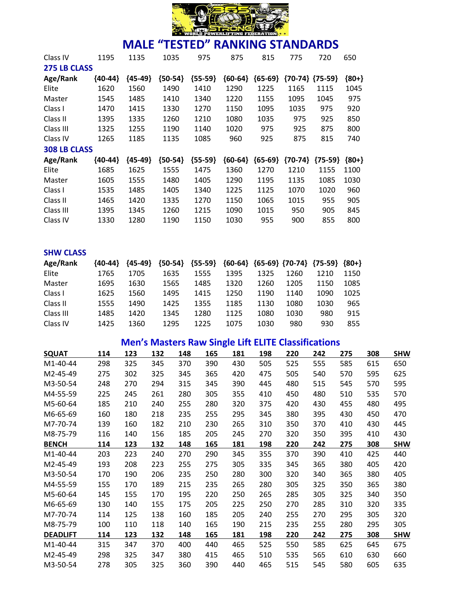

| Class IV            | 1195    | 1135      | 1035      | 975       | 875       | 815       | 775       | 720                 | 650     |
|---------------------|---------|-----------|-----------|-----------|-----------|-----------|-----------|---------------------|---------|
| <b>275 LB CLASS</b> |         |           |           |           |           |           |           |                     |         |
| Age/Rank            | {40-44} | ${45-49}$ | ${50-54}$ | ${55-59}$ | ${60-64}$ | ${65-69}$ |           | ${70-74}$ ${75-59}$ | ${80+}$ |
| Elite               | 1620    | 1560      | 1490      | 1410      | 1290      | 1225      | 1165      | 1115                | 1045    |
| Master              | 1545    | 1485      | 1410      | 1340      | 1220      | 1155      | 1095      | 1045                | 975     |
| Class I             | 1470    | 1415      | 1330      | 1270      | 1150      | 1095      | 1035      | 975                 | 920     |
| Class II            | 1395    | 1335      | 1260      | 1210      | 1080      | 1035      | 975       | 925                 | 850     |
| Class III           | 1325    | 1255      | 1190      | 1140      | 1020      | 975       | 925       | 875                 | 800     |
| Class IV            | 1265    | 1185      | 1135      | 1085      | 960       | 925       | 875       | 815                 | 740     |
| <b>308 LB CLASS</b> |         |           |           |           |           |           |           |                     |         |
| Age/Rank            | {40-44} | ${45-49}$ | ${50-54}$ | ${55-59}$ | ${60-64}$ | ${65-69}$ | ${70-74}$ | ${75-59}$           | ${80+}$ |
| Elite               | 1685    | 1625      | 1555      | 1475      | 1360      | 1270      | 1210      | 1155                | 1100    |
| Master              | 1605    | 1555      | 1480      | 1405      | 1290      | 1195      | 1135      | 1085                | 1030    |
| Class I             | 1535    | 1485      | 1405      | 1340      | 1225      | 1125      | 1070      | 1020                | 960     |
| Class II            | 1465    | 1420      | 1335      | 1270      | 1150      | 1065      | 1015      | 955                 | 905     |
| Class III           | 1395    | 1345      | 1260      | 1215      | 1090      | 1015      | 950       | 905                 | 845     |
| Class IV            | 1330    | 1280      | 1190      | 1150      | 1030      | 955       | 900       | 855                 | 800     |

| <b>SHW CLASS</b> |           |           |           |           |      |      |      |                                                 |      |
|------------------|-----------|-----------|-----------|-----------|------|------|------|-------------------------------------------------|------|
| Age/Rank         | ${40-44}$ | ${45-49}$ | ${50-54}$ | ${55-59}$ |      |      |      | ${60-64}$ ${65-69}$ ${70-74}$ ${75-59}$ ${80+}$ |      |
| Elite            | 1765      | 1705      | 1635      | 1555      | 1395 | 1325 | 1260 | 1210                                            | 1150 |
| Master           | 1695      | 1630      | 1565      | 1485      | 1320 | 1260 | 1205 | 1150                                            | 1085 |
| Class I          | 1625      | 1560      | 1495      | 1415      | 1250 | 1190 | 1140 | 1090                                            | 1025 |
| Class II         | 1555      | 1490      | 1425      | 1355      | 1185 | 1130 | 1080 | 1030                                            | 965  |
| Class III        | 1485      | 1420      | 1345      | 1280      | 1125 | 1080 | 1030 | 980                                             | 915  |
| Class IV         | 1425      | 1360      | 1295      | 1225      | 1075 | 1030 | 980  | 930                                             | 855  |

|                 | <b>Men's Masters Raw Single Lift ELITE Classifications</b> |     |     |     |     |     |     |     |     |     |     |            |  |  |
|-----------------|------------------------------------------------------------|-----|-----|-----|-----|-----|-----|-----|-----|-----|-----|------------|--|--|
| <b>SQUAT</b>    | 114                                                        | 123 | 132 | 148 | 165 | 181 | 198 | 220 | 242 | 275 | 308 | <b>SHW</b> |  |  |
| M1-40-44        | 298                                                        | 325 | 345 | 370 | 390 | 430 | 505 | 525 | 555 | 585 | 615 | 650        |  |  |
| M2-45-49        | 275                                                        | 302 | 325 | 345 | 365 | 420 | 475 | 505 | 540 | 570 | 595 | 625        |  |  |
| M3-50-54        | 248                                                        | 270 | 294 | 315 | 345 | 390 | 445 | 480 | 515 | 545 | 570 | 595        |  |  |
| M4-55-59        | 225                                                        | 245 | 261 | 280 | 305 | 355 | 410 | 450 | 480 | 510 | 535 | 570        |  |  |
| M5-60-64        | 185                                                        | 210 | 240 | 255 | 280 | 320 | 375 | 420 | 430 | 455 | 480 | 495        |  |  |
| M6-65-69        | 160                                                        | 180 | 218 | 235 | 255 | 295 | 345 | 380 | 395 | 430 | 450 | 470        |  |  |
| M7-70-74        | 139                                                        | 160 | 182 | 210 | 230 | 265 | 310 | 350 | 370 | 410 | 430 | 445        |  |  |
| M8-75-79        | 116                                                        | 140 | 156 | 185 | 205 | 245 | 270 | 320 | 350 | 395 | 410 | 430        |  |  |
| <b>BENCH</b>    | 114                                                        | 123 | 132 | 148 | 165 | 181 | 198 | 220 | 242 | 275 | 308 | <b>SHW</b> |  |  |
| M1-40-44        | 203                                                        | 223 | 240 | 270 | 290 | 345 | 355 | 370 | 390 | 410 | 425 | 440        |  |  |
| M2-45-49        | 193                                                        | 208 | 223 | 255 | 275 | 305 | 335 | 345 | 365 | 380 | 405 | 420        |  |  |
| M3-50-54        | 170                                                        | 190 | 206 | 235 | 250 | 280 | 300 | 320 | 340 | 365 | 380 | 405        |  |  |
| M4-55-59        | 155                                                        | 170 | 189 | 215 | 235 | 265 | 280 | 305 | 325 | 350 | 365 | 380        |  |  |
| M5-60-64        | 145                                                        | 155 | 170 | 195 | 220 | 250 | 265 | 285 | 305 | 325 | 340 | 350        |  |  |
| M6-65-69        | 130                                                        | 140 | 155 | 175 | 205 | 225 | 250 | 270 | 285 | 310 | 320 | 335        |  |  |
| M7-70-74        | 114                                                        | 125 | 138 | 160 | 185 | 205 | 240 | 255 | 270 | 295 | 305 | 320        |  |  |
| M8-75-79        | 100                                                        | 110 | 118 | 140 | 165 | 190 | 215 | 235 | 255 | 280 | 295 | 305        |  |  |
| <b>DEADLIFT</b> | 114                                                        | 123 | 132 | 148 | 165 | 181 | 198 | 220 | 242 | 275 | 308 | <b>SHW</b> |  |  |
| M1-40-44        | 315                                                        | 347 | 370 | 400 | 440 | 465 | 525 | 550 | 585 | 625 | 645 | 675        |  |  |
| M2-45-49        | 298                                                        | 325 | 347 | 380 | 415 | 465 | 510 | 535 | 565 | 610 | 630 | 660        |  |  |
| M3-50-54        | 278                                                        | 305 | 325 | 360 | 390 | 440 | 465 | 515 | 545 | 580 | 605 | 635        |  |  |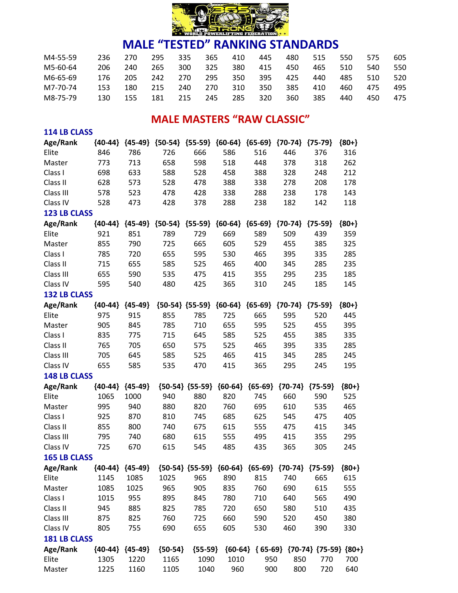

| M4-55-59 | 236 | 270 | 295 | 335 | 365 | 410 | 445 | 480 | 515 | 550 | 575 | 605 |
|----------|-----|-----|-----|-----|-----|-----|-----|-----|-----|-----|-----|-----|
| M5-60-64 | 206 | 240 | 265 | 300 | 325 | 380 | 415 | 450 | 465 | 510 | 540 | 550 |
| M6-65-69 | 176 | 205 | 242 | 270 | 295 | 350 | 395 | 425 | 440 | 485 | 510 | 520 |
| M7-70-74 | 153 | 180 | 215 | 240 | 270 | 310 | 350 | 385 | 410 | 460 | 475 | 495 |
| M8-75-79 | 130 | 155 | 181 | 215 | 245 | 285 | 320 | 360 | 385 | 440 | 450 | 475 |

### **MALE MASTERS "RAW CLASSIC"**

| <b>114 LB CLASS</b> |           |                     |           |                                                             |           |           |           |                                         |         |
|---------------------|-----------|---------------------|-----------|-------------------------------------------------------------|-----------|-----------|-----------|-----------------------------------------|---------|
| Age/Rank            | ${40-44}$ | ${45-49}$           | ${50-54}$ | ${55-59}$                                                   | ${60-64}$ | ${65-69}$ | ${70-74}$ | ${75-79}$                               | ${80+}$ |
| Elite               | 846       | 786                 | 726       | 666                                                         | 586       | 516       | 446       | 376                                     | 316     |
| Master              | 773       | 713                 | 658       | 598                                                         | 518       | 448       | 378       | 318                                     | 262     |
| Class I             | 698       | 633                 | 588       | 528                                                         | 458       | 388       | 328       | 248                                     | 212     |
| Class II            | 628       | 573                 | 528       | 478                                                         | 388       | 338       | 278       | 208                                     | 178     |
| Class III           | 578       | 523                 | 478       | 428                                                         | 338       | 288       | 238       | 178                                     | 143     |
| Class IV            | 528       | 473                 | 428       | 378                                                         | 288       | 238       | 182       | 142                                     | 118     |
| <b>123 LB CLASS</b> |           |                     |           |                                                             |           |           |           |                                         |         |
| Age/Rank            | ${40-44}$ | ${45-49}$           | ${50-54}$ | ${55-59}$                                                   | ${60-64}$ | ${65-69}$ | ${70-74}$ | ${75-59}$                               | ${80+}$ |
| Elite               | 921       | 851                 | 789       | 729                                                         | 669       | 589       | 509       | 439                                     | 359     |
| Master              | 855       | 790                 | 725       | 665                                                         | 605       | 529       | 455       | 385                                     | 325     |
| Class I             | 785       | 720                 | 655       | 595                                                         | 530       | 465       | 395       | 335                                     | 285     |
| Class II            | 715       | 655                 | 585       | 525                                                         | 465       | 400       | 345       | 285                                     | 235     |
| Class III           | 655       | 590                 | 535       | 475                                                         | 415       | 355       | 295       | 235                                     | 185     |
| Class IV            | 595       | 540                 | 480       | 425                                                         | 365       | 310       | 245       | 185                                     | 145     |
| <b>132 LB CLASS</b> |           |                     |           |                                                             |           |           |           |                                         |         |
| Age/Rank            | ${40-44}$ | ${45-49}$           |           | ${50-54}$ ${55-59}$                                         | ${60-64}$ | ${65-69}$ | ${70-74}$ | ${75-59}$                               | ${80+}$ |
| Elite               | 975       | 915                 | 855       | 785                                                         | 725       | 665       | 595       | 520                                     | 445     |
| Master              | 905       | 845                 | 785       | 710                                                         | 655       | 595       | 525       | 455                                     | 395     |
| Class I             | 835       | 775                 | 715       | 645                                                         | 585       | 525       | 455       | 385                                     | 335     |
| Class II            | 765       | 705                 | 650       | 575                                                         | 525       | 465       | 395       | 335                                     | 285     |
| Class III           | 705       | 645                 | 585       | 525                                                         | 465       | 415       | 345       | 285                                     | 245     |
| Class IV            | 655       | 585                 | 535       | 470                                                         | 415       | 365       | 295       | 245                                     | 195     |
| <b>148 LB CLASS</b> |           |                     |           |                                                             |           |           |           |                                         |         |
| Age/Rank            | ${40-44}$ | ${45-49}$           |           | ${50-54}$ ${55-59}$                                         | ${60-64}$ | ${65-69}$ | ${70-74}$ | ${75-59}$                               | ${80+}$ |
| Elite               | 1065      | 1000                | 940       | 880                                                         | 820       | 745       | 660       | 590                                     | 525     |
| Master              | 995       | 940                 | 880       | 820                                                         | 760       | 695       | 610       | 535                                     | 465     |
| Class I             | 925       | 870                 | 810       | 745                                                         | 685       | 625       | 545       | 475                                     | 405     |
| Class II            | 855       | 800                 | 740       | 675                                                         | 615       | 555       | 475       | 415                                     | 345     |
| Class III           | 795       | 740                 | 680       | 615                                                         | 555       | 495       | 415       | 355                                     | 295     |
| Class IV            | 725       | 670                 | 615       | 545                                                         | 485       | 435       | 365       | 305                                     | 245     |
| <b>165 LB CLASS</b> |           |                     |           |                                                             |           |           |           |                                         |         |
| Age/Rank            |           | ${40-44}$ ${45-49}$ |           | ${50-54}$ ${55-59}$ ${60-64}$ ${65-69}$ ${70-74}$ ${75-59}$ |           |           |           |                                         | ${80+}$ |
| Elite               | 1145      | 1085                | 1025      | 965                                                         | 890       | 815       | 740       | 665                                     | 615     |
| Master              | 1085      | 1025                | 965       | 905                                                         | 835       | 760       | 690       | 615                                     | 555     |
| Class I             | 1015      | 955                 | 895       | 845                                                         | 780       | 710       | 640       | 565                                     | 490     |
| Class II            | 945       | 885                 | 825       | 785                                                         | 720       | 650       | 580       | 510                                     | 435     |
| Class III           | 875       | 825                 | 760       | 725                                                         | 660       | 590       | 520       | 450                                     | 380     |
| Class IV            | 805       | 755                 | 690       | 655                                                         | 605       | 530       | 460       | 390                                     | 330     |
| <b>181 LB CLASS</b> |           |                     |           |                                                             |           |           |           |                                         |         |
| Age/Rank            |           | ${40-44}$ ${45-49}$ | ${50-54}$ | ${55-59}$                                                   |           |           |           | ${60-64} {65-69} {70-74} {75-59} {80+}$ |         |
| Elite               | 1305      | 1220                | 1165      | 1090                                                        | 1010      | 950       | 850       | 770                                     | 700     |
| Master              | 1225      | 1160                | 1105      | 1040                                                        | 960       | 900       | 800       | 720                                     | 640     |
|                     |           |                     |           |                                                             |           |           |           |                                         |         |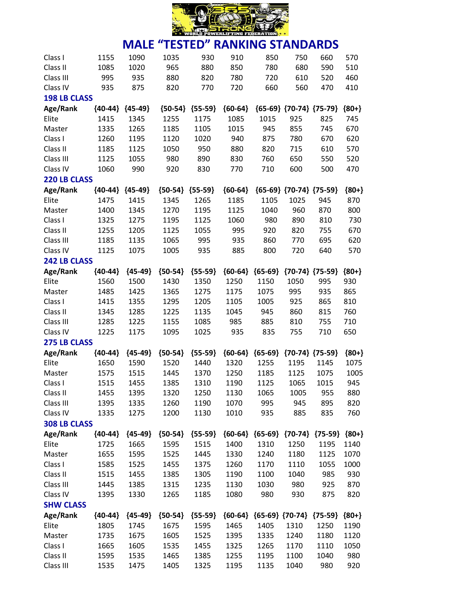

| Class I             | 1155      | 1090      | 1035      | 930       | 910       | 850                                     | 750                           | 660                 | 570     |
|---------------------|-----------|-----------|-----------|-----------|-----------|-----------------------------------------|-------------------------------|---------------------|---------|
| Class II            | 1085      | 1020      | 965       | 880       | 850       | 780                                     | 680                           | 590                 | 510     |
| Class III           | 995       | 935       | 880       | 820       | 780       | 720                                     | 610                           | 520                 | 460     |
| Class IV            | 935       | 875       | 820       | 770       | 720       | 660                                     | 560                           | 470                 | 410     |
| <b>198 LB CLASS</b> |           |           |           |           |           |                                         |                               |                     |         |
| Age/Rank            | ${40-44}$ | ${45-49}$ | ${50-54}$ | ${55-59}$ | ${60-64}$ |                                         | ${65-69}$ ${70-74}$ ${75-79}$ |                     | ${80+}$ |
| Elite               | 1415      | 1345      | 1255      | 1175      | 1085      | 1015                                    | 925                           | 825                 | 745     |
| Master              | 1335      | 1265      | 1185      | 1105      | 1015      | 945                                     | 855                           | 745                 | 670     |
| Class I             | 1260      | 1195      | 1120      | 1020      | 940       | 875                                     | 780                           | 670                 | 620     |
| Class II            | 1185      | 1125      | 1050      | 950       | 880       | 820                                     | 715                           | 610                 | 570     |
| Class III           | 1125      | 1055      | 980       | 890       | 830       | 760                                     | 650                           | 550                 | 520     |
| Class IV            | 1060      | 990       | 920       | 830       | 770       | 710                                     | 600                           | 500                 | 470     |
| <b>220 LB CLASS</b> |           |           |           |           |           |                                         |                               |                     |         |
| Age/Rank            | ${40-44}$ | ${45-49}$ | ${50-54}$ | ${55-59}$ | ${60-64}$ |                                         | ${65-69}$ ${70-74}$ ${75-59}$ |                     | ${80+}$ |
| Elite               | 1475      | 1415      | 1345      | 1265      | 1185      | 1105                                    | 1025                          | 945                 | 870     |
| Master              | 1400      | 1345      | 1270      | 1195      | 1125      | 1040                                    | 960                           | 870                 | 800     |
| Class I             | 1325      | 1275      | 1195      | 1125      | 1060      | 980                                     | 890                           | 810                 | 730     |
| Class II            | 1255      | 1205      | 1125      | 1055      | 995       | 920                                     | 820                           | 755                 | 670     |
| Class III           | 1185      | 1135      | 1065      | 995       | 935       | 860                                     | 770                           | 695                 | 620     |
| Class IV            | 1125      | 1075      | 1005      | 935       | 885       | 800                                     | 720                           | 640                 | 570     |
| <b>242 LB CLASS</b> |           |           |           |           |           |                                         |                               |                     |         |
| Age/Rank            | ${40-44}$ | ${45-49}$ | ${50-54}$ | ${55-59}$ | ${60-64}$ | ${65-69}$                               |                               | ${70-74}$ ${75-59}$ | ${80+}$ |
| Elite               | 1560      | 1500      | 1430      | 1350      | 1250      | 1150                                    | 1050                          | 995                 | 930     |
| Master              | 1485      | 1425      | 1365      | 1275      | 1175      | 1075                                    | 995                           | 935                 | 865     |
| Class I             | 1415      | 1355      | 1295      | 1205      | 1105      | 1005                                    | 925                           | 865                 | 810     |
| Class II            | 1345      | 1285      | 1225      | 1135      | 1045      | 945                                     | 860                           | 815                 | 760     |
| Class III           | 1285      | 1225      | 1155      | 1085      | 985       | 885                                     | 810                           | 755                 | 710     |
| Class IV            | 1225      | 1175      | 1095      | 1025      | 935       | 835                                     | 755                           | 710                 | 650     |
| <b>275 LB CLASS</b> |           |           |           |           |           |                                         |                               |                     |         |
| Age/Rank            | ${40-44}$ | ${45-49}$ | ${50-54}$ | ${55-59}$ | ${60-64}$ | ${65-69}$                               |                               | ${70-74}$ ${75-59}$ | ${80+}$ |
| Elite               | 1650      | 1590      | 1520      | 1440      | 1320      | 1255                                    | 1195                          | 1145                | 1075    |
| Master              | 1575      | 1515      | 1445      | 1370      | 1250      | 1185                                    | 1125                          | 1075                | 1005    |
| Class I             | 1515      | 1455      | 1385      | 1310      | 1190      | 1125                                    | 1065                          | 1015                | 945     |
| Class II            | 1455      | 1395      | 1320      | 1250      | 1130      | 1065                                    | 1005                          | 955                 | 880     |
| Class III           | 1395      | 1335      | 1260      | 1190      | 1070      | 995                                     | 945                           | 895                 | 820     |
| Class IV            | 1335      | 1275      | 1200      | 1130      | 1010      | 935                                     | 885                           | 835                 | 760     |
| <b>308 LB CLASS</b> |           |           |           |           |           |                                         |                               |                     |         |
|                     |           |           |           |           |           |                                         |                               |                     |         |
| Age/Rank            | ${40-44}$ | ${45-49}$ | ${50-54}$ | ${55-59}$ |           | ${60-64}$ ${65-69}$                     |                               | ${70-74}$ ${75-59}$ | ${80+}$ |
| Elite               | 1725      | 1665      | 1595      | 1515      | 1400      | 1310                                    | 1250                          | 1195                | 1140    |
| Master              | 1655      | 1595      | 1525      | 1445      | 1330      | 1240                                    | 1180                          | 1125                | 1070    |
| Class I             | 1585      | 1525      | 1455      | 1375      | 1260      | 1170                                    | 1110                          | 1055                | 1000    |
| Class II            | 1515      | 1455      | 1385      | 1305      | 1190      | 1100                                    | 1040                          | 985                 | 930     |
| Class III           | 1445      | 1385      | 1315      | 1235      | 1130      | 1030                                    | 980                           | 925                 | 870     |
| Class IV            | 1395      | 1330      | 1265      | 1185      | 1080      | 980                                     | 930                           | 875                 | 820     |
| <b>SHW CLASS</b>    |           |           |           |           |           |                                         |                               |                     |         |
| Age/Rank            | ${40-44}$ | ${45-49}$ | ${50-54}$ | ${55-59}$ |           | ${60-64}$ ${65-69}$ ${70-74}$ ${75-59}$ |                               |                     | ${80+}$ |
| Elite               | 1805      | 1745      | 1675      | 1595      | 1465      | 1405                                    | 1310                          | 1250                | 1190    |
| Master              | 1735      | 1675      | 1605      | 1525      | 1395      | 1335                                    | 1240                          | 1180                | 1120    |
| Class I             | 1665      | 1605      | 1535      | 1455      | 1325      | 1265                                    | 1170                          | 1110                | 1050    |
| Class II            | 1595      | 1535      | 1465      | 1385      | 1255      | 1195                                    | 1100                          | 1040                | 980     |
| Class III           | 1535      | 1475      | 1405      | 1325      | 1195      | 1135                                    | 1040                          | 980                 | 920     |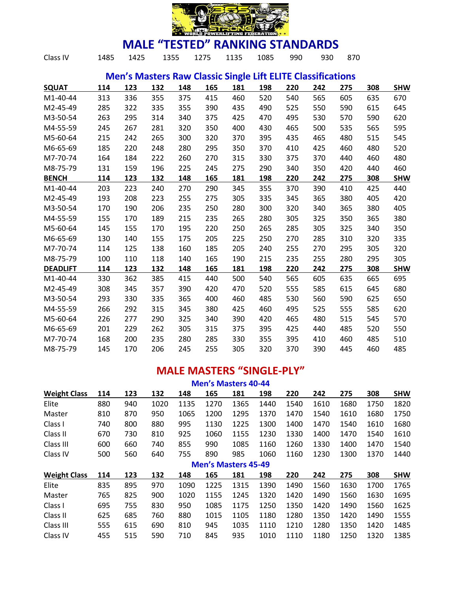

| Class IV        | 1485 | 1425 | 1355 |     | 1275 | 1135 | 1085 | 990 | 930                                                                | 870 |     |            |
|-----------------|------|------|------|-----|------|------|------|-----|--------------------------------------------------------------------|-----|-----|------------|
|                 |      |      |      |     |      |      |      |     | <b>Men's Masters Raw Classic Single Lift ELITE Classifications</b> |     |     |            |
| <b>SQUAT</b>    | 114  | 123  | 132  | 148 | 165  | 181  | 198  | 220 | 242                                                                | 275 | 308 | <b>SHW</b> |
| M1-40-44        | 313  | 336  | 355  | 375 | 415  | 460  | 520  | 540 | 565                                                                | 605 | 635 | 670        |
| M2-45-49        | 285  | 322  | 335  | 355 | 390  | 435  | 490  | 525 | 550                                                                | 590 | 615 | 645        |
| M3-50-54        | 263  | 295  | 314  | 340 | 375  | 425  | 470  | 495 | 530                                                                | 570 | 590 | 620        |
| M4-55-59        | 245  | 267  | 281  | 320 | 350  | 400  | 430  | 465 | 500                                                                | 535 | 565 | 595        |
| M5-60-64        | 215  | 242  | 265  | 300 | 320  | 370  | 395  | 435 | 465                                                                | 480 | 515 | 545        |
| M6-65-69        | 185  | 220  | 248  | 280 | 295  | 350  | 370  | 410 | 425                                                                | 460 | 480 | 520        |
| M7-70-74        | 164  | 184  | 222  | 260 | 270  | 315  | 330  | 375 | 370                                                                | 440 | 460 | 480        |
| M8-75-79        | 131  | 159  | 196  | 225 | 245  | 275  | 290  | 340 | 350                                                                | 420 | 440 | 460        |
| <b>BENCH</b>    | 114  | 123  | 132  | 148 | 165  | 181  | 198  | 220 | 242                                                                | 275 | 308 | <b>SHW</b> |
| M1-40-44        | 203  | 223  | 240  | 270 | 290  | 345  | 355  | 370 | 390                                                                | 410 | 425 | 440        |
| M2-45-49        | 193  | 208  | 223  | 255 | 275  | 305  | 335  | 345 | 365                                                                | 380 | 405 | 420        |
| M3-50-54        | 170  | 190  | 206  | 235 | 250  | 280  | 300  | 320 | 340                                                                | 365 | 380 | 405        |
| M4-55-59        | 155  | 170  | 189  | 215 | 235  | 265  | 280  | 305 | 325                                                                | 350 | 365 | 380        |
| M5-60-64        | 145  | 155  | 170  | 195 | 220  | 250  | 265  | 285 | 305                                                                | 325 | 340 | 350        |
| M6-65-69        | 130  | 140  | 155  | 175 | 205  | 225  | 250  | 270 | 285                                                                | 310 | 320 | 335        |
| M7-70-74        | 114  | 125  | 138  | 160 | 185  | 205  | 240  | 255 | 270                                                                | 295 | 305 | 320        |
| M8-75-79        | 100  | 110  | 118  | 140 | 165  | 190  | 215  | 235 | 255                                                                | 280 | 295 | 305        |
| <b>DEADLIFT</b> | 114  | 123  | 132  | 148 | 165  | 181  | 198  | 220 | 242                                                                | 275 | 308 | <b>SHW</b> |
| M1-40-44        | 330  | 362  | 385  | 415 | 440  | 500  | 540  | 565 | 605                                                                | 635 | 665 | 695        |
| M2-45-49        | 308  | 345  | 357  | 390 | 420  | 470  | 520  | 555 | 585                                                                | 615 | 645 | 680        |
| M3-50-54        | 293  | 330  | 335  | 365 | 400  | 460  | 485  | 530 | 560                                                                | 590 | 625 | 650        |
| M4-55-59        | 266  | 292  | 315  | 345 | 380  | 425  | 460  | 495 | 525                                                                | 555 | 585 | 620        |
| M5-60-64        | 226  | 277  | 290  | 325 | 340  | 390  | 420  | 465 | 480                                                                | 515 | 545 | 570        |
| M6-65-69        | 201  | 229  | 262  | 305 | 315  | 375  | 395  | 425 | 440                                                                | 485 | 520 | 550        |
| M7-70-74        | 168  | 200  | 235  | 280 | 285  | 330  | 355  | 395 | 410                                                                | 460 | 485 | 510        |
| M8-75-79        | 145  | 170  | 206  | 245 | 255  | 305  | 320  | 370 | 390                                                                | 445 | 460 | 485        |
|                 |      |      |      |     |      |      |      |     |                                                                    |     |     |            |

### **MALE MASTERS "SINGLE-PLY"**

| <b>Men's Masters 40-44</b> |     |     |      |      |                            |      |      |      |      |      |      |            |
|----------------------------|-----|-----|------|------|----------------------------|------|------|------|------|------|------|------------|
| <b>Weight Class</b>        | 114 | 123 | 132  | 148  | 165                        | 181  | 198  | 220  | 242  | 275  | 308  | <b>SHW</b> |
| Elite                      | 880 | 940 | 1020 | 1135 | 1270                       | 1365 | 1440 | 1540 | 1610 | 1680 | 1750 | 1820       |
| Master                     | 810 | 870 | 950  | 1065 | 1200                       | 1295 | 1370 | 1470 | 1540 | 1610 | 1680 | 1750       |
| Class I                    | 740 | 800 | 880  | 995  | 1130                       | 1225 | 1300 | 1400 | 1470 | 1540 | 1610 | 1680       |
| Class II                   | 670 | 730 | 810  | 925  | 1060                       | 1155 | 1230 | 1330 | 1400 | 1470 | 1540 | 1610       |
| Class III                  | 600 | 660 | 740  | 855  | 990                        | 1085 | 1160 | 1260 | 1330 | 1400 | 1470 | 1540       |
| Class IV                   | 500 | 560 | 640  | 755  | 890                        | 985  | 1060 | 1160 | 1230 | 1300 | 1370 | 1440       |
|                            |     |     |      |      | <b>Men's Masters 45-49</b> |      |      |      |      |      |      |            |
| <b>Weight Class</b>        | 114 | 123 | 132  | 148  | 165                        | 181  | 198  | 220  | 242  | 275  | 308  | <b>SHW</b> |
| Elite                      | 835 | 895 | 970  | 1090 | 1225                       | 1315 | 1390 | 1490 | 1560 | 1630 | 1700 | 1765       |
| Master                     | 765 | 825 | 900  | 1020 | 1155                       | 1245 | 1320 | 1420 | 1490 | 1560 | 1630 | 1695       |
| Class I                    | 695 | 755 | 830  | 950  | 1085                       | 1175 | 1250 | 1350 | 1420 | 1490 | 1560 | 1625       |
| Class II                   | 625 | 685 | 760  | 880  | 1015                       | 1105 | 1180 | 1280 | 1350 | 1420 | 1490 | 1555       |
| Class III                  | 555 | 615 | 690  | 810  | 945                        | 1035 | 1110 | 1210 | 1280 | 1350 | 1420 | 1485       |
| Class IV                   | 455 | 515 | 590  | 710  | 845                        | 935  | 1010 | 1110 | 1180 | 1250 | 1320 | 1385       |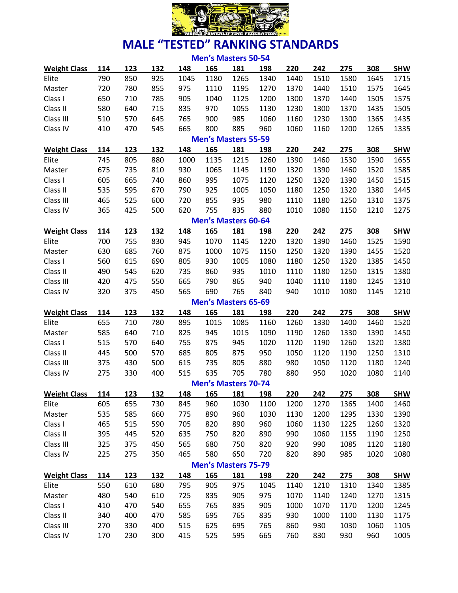

|                     |     |     |     |      | <b>Men's Masters 50-54</b> |      |      |      |      |      |      |            |
|---------------------|-----|-----|-----|------|----------------------------|------|------|------|------|------|------|------------|
| <b>Weight Class</b> | 114 | 123 | 132 | 148  | 165                        | 181  | 198  | 220  | 242  | 275  | 308  | <b>SHW</b> |
| Elite               | 790 | 850 | 925 | 1045 | 1180                       | 1265 | 1340 | 1440 | 1510 | 1580 | 1645 | 1715       |
| Master              | 720 | 780 | 855 | 975  | 1110                       | 1195 | 1270 | 1370 | 1440 | 1510 | 1575 | 1645       |
| Class I             | 650 | 710 | 785 | 905  | 1040                       | 1125 | 1200 | 1300 | 1370 | 1440 | 1505 | 1575       |
| Class II            | 580 | 640 | 715 | 835  | 970                        | 1055 | 1130 | 1230 | 1300 | 1370 | 1435 | 1505       |
| Class III           | 510 | 570 | 645 | 765  | 900                        | 985  | 1060 | 1160 | 1230 | 1300 | 1365 | 1435       |
| Class IV            | 410 | 470 | 545 | 665  | 800                        | 885  | 960  | 1060 | 1160 | 1200 | 1265 | 1335       |
|                     |     |     |     |      | <b>Men's Masters 55-59</b> |      |      |      |      |      |      |            |
| <b>Weight Class</b> | 114 | 123 | 132 | 148  | 165                        | 181  | 198  | 220  | 242  | 275  | 308  | <b>SHW</b> |
| Elite               | 745 | 805 | 880 | 1000 | 1135                       | 1215 | 1260 | 1390 | 1460 | 1530 | 1590 | 1655       |
| Master              | 675 | 735 | 810 | 930  | 1065                       | 1145 | 1190 | 1320 | 1390 | 1460 | 1520 | 1585       |
| Class I             | 605 | 665 | 740 | 860  | 995                        | 1075 | 1120 | 1250 | 1320 | 1390 | 1450 | 1515       |
| Class II            | 535 | 595 | 670 | 790  | 925                        | 1005 | 1050 | 1180 | 1250 | 1320 | 1380 | 1445       |
| Class III           | 465 | 525 | 600 | 720  | 855                        | 935  | 980  | 1110 | 1180 | 1250 | 1310 | 1375       |
| Class IV            | 365 | 425 | 500 | 620  | 755                        | 835  | 880  | 1010 | 1080 | 1150 | 1210 | 1275       |
|                     |     |     |     |      | <b>Men's Masters 60-64</b> |      |      |      |      |      |      |            |
| <b>Weight Class</b> | 114 | 123 | 132 | 148  | 165                        | 181  | 198  | 220  | 242  | 275  | 308  | <b>SHW</b> |
| Elite               | 700 | 755 | 830 | 945  | 1070                       | 1145 | 1220 | 1320 | 1390 | 1460 | 1525 | 1590       |
| Master              | 630 | 685 | 760 | 875  | 1000                       | 1075 | 1150 | 1250 | 1320 | 1390 | 1455 | 1520       |
| Class I             | 560 | 615 | 690 | 805  | 930                        | 1005 | 1080 | 1180 | 1250 | 1320 | 1385 | 1450       |
| Class II            | 490 | 545 | 620 | 735  | 860                        | 935  | 1010 | 1110 | 1180 | 1250 | 1315 | 1380       |
| Class III           | 420 | 475 | 550 | 665  | 790                        | 865  | 940  | 1040 | 1110 | 1180 | 1245 | 1310       |
| Class IV            | 320 | 375 | 450 | 565  | 690                        | 765  | 840  | 940  | 1010 | 1080 | 1145 | 1210       |
|                     |     |     |     |      | <b>Men's Masters 65-69</b> |      |      |      |      |      |      |            |
| <b>Weight Class</b> | 114 | 123 | 132 | 148  | 165                        | 181  | 198  | 220  | 242  | 275  | 308  | <b>SHW</b> |
| Elite               | 655 | 710 | 780 | 895  | 1015                       | 1085 | 1160 | 1260 | 1330 | 1400 | 1460 | 1520       |
| Master              | 585 | 640 | 710 | 825  | 945                        | 1015 | 1090 | 1190 | 1260 | 1330 | 1390 | 1450       |
| Class I             | 515 | 570 | 640 | 755  | 875                        | 945  | 1020 | 1120 | 1190 | 1260 | 1320 | 1380       |
| Class II            | 445 | 500 | 570 | 685  | 805                        | 875  | 950  | 1050 | 1120 | 1190 | 1250 | 1310       |
| Class III           | 375 | 430 | 500 | 615  | 735                        | 805  | 880  | 980  | 1050 | 1120 | 1180 | 1240       |
| Class IV            | 275 | 330 | 400 | 515  | 635                        | 705  | 780  | 880  | 950  | 1020 | 1080 | 1140       |
|                     |     |     |     |      | <b>Men's Masters 70-74</b> |      |      |      |      |      |      |            |
| <b>Weight Class</b> | 114 | 123 | 132 | 148  | 165                        | 181  | 198  | 220  | 242  | 275  | 308  | <b>SHW</b> |
| Elite               | 605 | 655 | 730 | 845  | 960                        | 1030 | 1100 | 1200 | 1270 | 1365 | 1400 | 1460       |
| Master              | 535 | 585 | 660 | 775  | 890                        | 960  | 1030 | 1130 | 1200 | 1295 | 1330 | 1390       |
| Class I             | 465 | 515 | 590 | 705  | 820                        | 890  | 960  | 1060 | 1130 | 1225 | 1260 | 1320       |
| Class II            | 395 | 445 | 520 | 635  | 750                        | 820  | 890  | 990  | 1060 | 1155 | 1190 | 1250       |
| Class III           | 325 | 375 | 450 | 565  | 680                        | 750  | 820  | 920  | 990  | 1085 | 1120 | 1180       |
| Class IV            | 225 | 275 | 350 | 465  | 580                        | 650  | 720  | 820  | 890  | 985  | 1020 | 1080       |
|                     |     |     |     |      | <b>Men's Masters 75-79</b> |      |      |      |      |      |      |            |
| <b>Weight Class</b> | 114 | 123 | 132 | 148  | 165                        | 181  | 198  | 220  | 242  | 275  | 308  | <b>SHW</b> |
| Elite               | 550 | 610 | 680 | 795  | 905                        | 975  | 1045 | 1140 | 1210 | 1310 | 1340 | 1385       |
| Master              | 480 | 540 | 610 | 725  | 835                        | 905  | 975  | 1070 | 1140 | 1240 | 1270 | 1315       |
| Class I             | 410 | 470 | 540 | 655  | 765                        | 835  | 905  | 1000 | 1070 | 1170 | 1200 | 1245       |
| Class II            | 340 | 400 | 470 | 585  | 695                        | 765  | 835  | 930  | 1000 | 1100 | 1130 | 1175       |
| Class III           | 270 | 330 | 400 | 515  | 625                        | 695  | 765  | 860  | 930  | 1030 | 1060 | 1105       |
| Class IV            | 170 | 230 | 300 | 415  | 525                        | 595  | 665  | 760  | 830  | 930  | 960  | 1005       |
|                     |     |     |     |      |                            |      |      |      |      |      |      |            |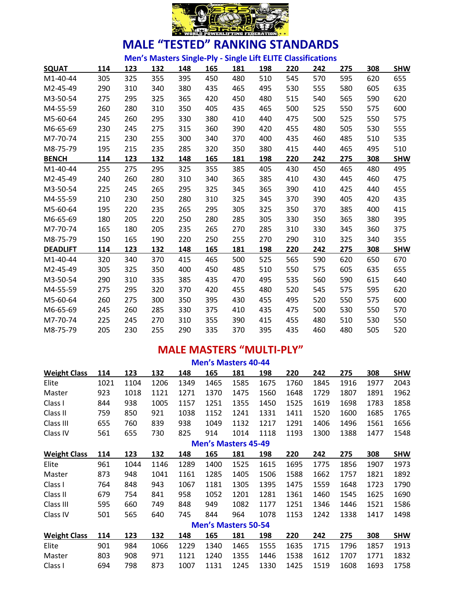

**Men's Masters Single-Ply - Single Lift ELITE Classifications**

| <b>SQUAT</b>    | 114 | 123 | 132 | 148 | 165 | 181 | 198 | 220 | 242 | 275 | 308 | <b>SHW</b> |
|-----------------|-----|-----|-----|-----|-----|-----|-----|-----|-----|-----|-----|------------|
| $M1-40-44$      | 305 | 325 | 355 | 395 | 450 | 480 | 510 | 545 | 570 | 595 | 620 | 655        |
| M2-45-49        | 290 | 310 | 340 | 380 | 435 | 465 | 495 | 530 | 555 | 580 | 605 | 635        |
| M3-50-54        | 275 | 295 | 325 | 365 | 420 | 450 | 480 | 515 | 540 | 565 | 590 | 620        |
| M4-55-59        | 260 | 280 | 310 | 350 | 405 | 435 | 465 | 500 | 525 | 550 | 575 | 600        |
| M5-60-64        | 245 | 260 | 295 | 330 | 380 | 410 | 440 | 475 | 500 | 525 | 550 | 575        |
| M6-65-69        | 230 | 245 | 275 | 315 | 360 | 390 | 420 | 455 | 480 | 505 | 530 | 555        |
| M7-70-74        | 215 | 230 | 255 | 300 | 340 | 370 | 400 | 435 | 460 | 485 | 510 | 535        |
| M8-75-79        | 195 | 215 | 235 | 285 | 320 | 350 | 380 | 415 | 440 | 465 | 495 | 510        |
| <b>BENCH</b>    | 114 | 123 | 132 | 148 | 165 | 181 | 198 | 220 | 242 | 275 | 308 | <b>SHW</b> |
| $M1-40-44$      | 255 | 275 | 295 | 325 | 355 | 385 | 405 | 430 | 450 | 465 | 480 | 495        |
| M2-45-49        | 240 | 260 | 280 | 310 | 340 | 365 | 385 | 410 | 430 | 445 | 460 | 475        |
| M3-50-54        | 225 | 245 | 265 | 295 | 325 | 345 | 365 | 390 | 410 | 425 | 440 | 455        |
| M4-55-59        | 210 | 230 | 250 | 280 | 310 | 325 | 345 | 370 | 390 | 405 | 420 | 435        |
| M5-60-64        | 195 | 220 | 235 | 265 | 295 | 305 | 325 | 350 | 370 | 385 | 400 | 415        |
| M6-65-69        | 180 | 205 | 220 | 250 | 280 | 285 | 305 | 330 | 350 | 365 | 380 | 395        |
| M7-70-74        | 165 | 180 | 205 | 235 | 265 | 270 | 285 | 310 | 330 | 345 | 360 | 375        |
| M8-75-79        | 150 | 165 | 190 | 220 | 250 | 255 | 270 | 290 | 310 | 325 | 340 | 355        |
| <b>DEADLIFT</b> | 114 | 123 | 132 | 148 | 165 | 181 | 198 | 220 | 242 | 275 | 308 | <b>SHW</b> |
| $M1-40-44$      | 320 | 340 | 370 | 415 | 465 | 500 | 525 | 565 | 590 | 620 | 650 | 670        |
| M2-45-49        | 305 | 325 | 350 | 400 | 450 | 485 | 510 | 550 | 575 | 605 | 635 | 655        |
| M3-50-54        | 290 | 310 | 335 | 385 | 435 | 470 | 495 | 535 | 560 | 590 | 615 | 640        |
| M4-55-59        | 275 | 295 | 320 | 370 | 420 | 455 | 480 | 520 | 545 | 575 | 595 | 620        |
| M5-60-64        | 260 | 275 | 300 | 350 | 395 | 430 | 455 | 495 | 520 | 550 | 575 | 600        |
| M6-65-69        | 245 | 260 | 285 | 330 | 375 | 410 | 435 | 475 | 500 | 530 | 550 | 570        |
| M7-70-74        | 225 | 245 | 270 | 310 | 355 | 390 | 415 | 455 | 480 | 510 | 530 | 550        |
| M8-75-79        | 205 | 230 | 255 | 290 | 335 | 370 | 395 | 435 | 460 | 480 | 505 | 520        |

#### **MALE MASTERS "MULTI-PLY"**

| <b>Men's Masters 40-44</b> |      |      |      |      |                            |      |      |      |      |      |      |            |
|----------------------------|------|------|------|------|----------------------------|------|------|------|------|------|------|------------|
| <b>Weight Class</b>        | 114  | 123  | 132  | 148  | 165                        | 181  | 198  | 220  | 242  | 275  | 308  | <b>SHW</b> |
| Elite                      | 1021 | 1104 | 1206 | 1349 | 1465                       | 1585 | 1675 | 1760 | 1845 | 1916 | 1977 | 2043       |
| Master                     | 923  | 1018 | 1121 | 1271 | 1370                       | 1475 | 1560 | 1648 | 1729 | 1807 | 1891 | 1962       |
| Class I                    | 844  | 938  | 1005 | 1157 | 1251                       | 1355 | 1450 | 1525 | 1619 | 1698 | 1783 | 1858       |
| Class II                   | 759  | 850  | 921  | 1038 | 1152                       | 1241 | 1331 | 1411 | 1520 | 1600 | 1685 | 1765       |
| Class III                  | 655  | 760  | 839  | 938  | 1049                       | 1132 | 1217 | 1291 | 1406 | 1496 | 1561 | 1656       |
| Class IV                   | 561  | 655  | 730  | 825  | 914                        | 1014 | 1118 | 1193 | 1300 | 1388 | 1477 | 1548       |
| <b>Men's Masters 45-49</b> |      |      |      |      |                            |      |      |      |      |      |      |            |
| <b>Weight Class</b>        | 114  | 123  | 132  | 148  | 165                        | 181  | 198  | 220  | 242  | 275  | 308  | <b>SHW</b> |
| Elite                      | 961  | 1044 | 1146 | 1289 | 1400                       | 1525 | 1615 | 1695 | 1775 | 1856 | 1907 | 1973       |
| Master                     | 873  | 948  | 1041 | 1161 | 1285                       | 1405 | 1506 | 1588 | 1662 | 1757 | 1821 | 1892       |
| Class I                    | 764  | 848  | 943  | 1067 | 1181                       | 1305 | 1395 | 1475 | 1559 | 1648 | 1723 | 1790       |
| Class II                   | 679  | 754  | 841  | 958  | 1052                       | 1201 | 1281 | 1361 | 1460 | 1545 | 1625 | 1690       |
| Class III                  | 595  | 660  | 749  | 848  | 949                        | 1082 | 1177 | 1251 | 1346 | 1446 | 1521 | 1586       |
| Class IV                   | 501  | 565  | 640  | 745  | 844                        | 964  | 1078 | 1153 | 1242 | 1338 | 1417 | 1498       |
|                            |      |      |      |      | <b>Men's Masters 50-54</b> |      |      |      |      |      |      |            |
| <b>Weight Class</b>        | 114  | 123  | 132  | 148  | 165                        | 181  | 198  | 220  | 242  | 275  | 308  | <b>SHW</b> |
| Elite                      | 901  | 984  | 1066 | 1229 | 1340                       | 1465 | 1555 | 1635 | 1715 | 1796 | 1857 | 1913       |
| Master                     | 803  | 908  | 971  | 1121 | 1240                       | 1355 | 1446 | 1538 | 1612 | 1707 | 1771 | 1832       |
| Class I                    | 694  | 798  | 873  | 1007 | 1131                       | 1245 | 1330 | 1425 | 1519 | 1608 | 1693 | 1758       |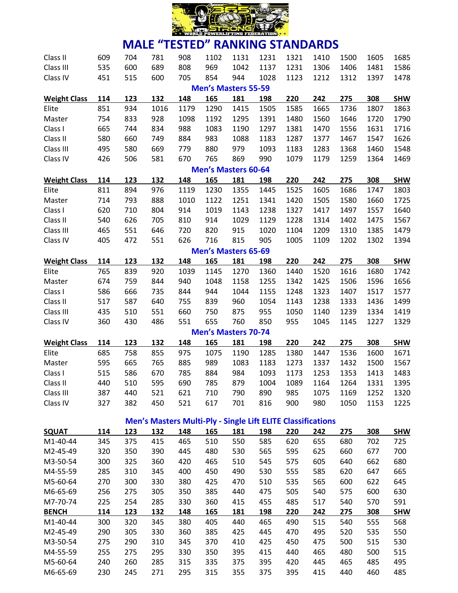

| Class II            | 609 | 704 | 781                                                                | 908  | 1102                       | 1131 | 1231 | 1321 | 1410 | 1500 | 1605 | 1685       |
|---------------------|-----|-----|--------------------------------------------------------------------|------|----------------------------|------|------|------|------|------|------|------------|
| Class III           | 535 | 600 | 689                                                                | 808  | 969                        | 1042 | 1137 | 1231 | 1306 | 1406 | 1481 | 1586       |
| Class IV            | 451 | 515 | 600                                                                | 705  | 854                        | 944  | 1028 | 1123 | 1212 | 1312 | 1397 | 1478       |
|                     |     |     |                                                                    |      | <b>Men's Masters 55-59</b> |      |      |      |      |      |      |            |
| <b>Weight Class</b> | 114 | 123 | 132                                                                | 148  | 165                        | 181  | 198  | 220  | 242  | 275  | 308  | <b>SHW</b> |
| Elite               | 851 | 934 | 1016                                                               | 1179 | 1290                       | 1415 | 1505 | 1585 | 1665 | 1736 | 1807 | 1863       |
| Master              | 754 | 833 | 928                                                                | 1098 | 1192                       | 1295 | 1391 | 1480 | 1560 | 1646 | 1720 | 1790       |
| Class I             | 665 | 744 | 834                                                                | 988  | 1083                       | 1190 | 1297 | 1381 | 1470 | 1556 | 1631 | 1716       |
| Class II            | 580 | 660 | 749                                                                | 884  | 983                        | 1088 | 1183 | 1287 | 1377 | 1467 | 1547 | 1626       |
| Class III           | 495 | 580 | 669                                                                | 779  | 880                        | 979  | 1093 | 1183 | 1283 | 1368 | 1460 | 1548       |
| Class IV            | 426 | 506 | 581                                                                | 670  | 765                        | 869  | 990  | 1079 | 1179 | 1259 | 1364 | 1469       |
|                     |     |     |                                                                    |      | <b>Men's Masters 60-64</b> |      |      |      |      |      |      |            |
| <b>Weight Class</b> | 114 | 123 | 132                                                                | 148  | 165                        | 181  | 198  | 220  | 242  | 275  | 308  | <b>SHW</b> |
| Elite               | 811 | 894 | 976                                                                | 1119 | 1230                       | 1355 | 1445 | 1525 | 1605 | 1686 | 1747 | 1803       |
| Master              | 714 | 793 | 888                                                                | 1010 | 1122                       | 1251 | 1341 | 1420 | 1505 | 1580 | 1660 | 1725       |
| Class I             | 620 | 710 | 804                                                                | 914  | 1019                       | 1143 | 1238 | 1327 | 1417 | 1497 | 1557 | 1640       |
| Class II            | 540 | 626 | 705                                                                | 810  | 914                        | 1029 | 1129 | 1228 | 1314 | 1402 | 1475 | 1567       |
| Class III           | 465 | 551 | 646                                                                | 720  | 820                        | 915  | 1020 | 1104 | 1209 | 1310 | 1385 | 1479       |
| Class IV            | 405 | 472 | 551                                                                | 626  | 716                        | 815  | 905  | 1005 | 1109 | 1202 | 1302 | 1394       |
|                     |     |     |                                                                    |      | <b>Men's Masters 65-69</b> |      |      |      |      |      |      |            |
| <b>Weight Class</b> | 114 | 123 | 132                                                                | 148  | 165                        | 181  | 198  | 220  | 242  | 275  | 308  | <b>SHW</b> |
| Elite               | 765 | 839 | 920                                                                | 1039 | 1145                       | 1270 | 1360 | 1440 | 1520 | 1616 | 1680 | 1742       |
| Master              | 674 | 759 | 844                                                                | 940  | 1048                       | 1158 | 1255 | 1342 | 1425 | 1506 | 1596 | 1656       |
| Class I             | 586 | 666 | 735                                                                | 844  | 944                        | 1044 | 1155 | 1248 | 1323 | 1407 | 1517 | 1577       |
| Class II            | 517 | 587 | 640                                                                | 755  | 839                        | 960  | 1054 | 1143 | 1238 | 1333 | 1436 | 1499       |
| Class III           | 435 | 510 | 551                                                                | 660  | 750                        | 875  | 955  | 1050 | 1140 | 1239 | 1334 | 1419       |
| Class IV            | 360 | 430 | 486                                                                | 551  | 655                        | 760  | 850  | 955  | 1045 | 1145 | 1227 | 1329       |
|                     |     |     |                                                                    |      | <b>Men's Masters 70-74</b> |      |      |      |      |      |      |            |
| <b>Weight Class</b> | 114 | 123 | 132                                                                | 148  | 165                        | 181  | 198  | 220  | 242  | 275  | 308  | <b>SHW</b> |
| Elite               | 685 | 758 | 855                                                                | 975  | 1075                       | 1190 | 1285 | 1380 | 1447 | 1536 | 1600 | 1671       |
| Master              | 595 | 665 | 765                                                                | 885  | 989                        | 1083 | 1183 | 1273 | 1337 | 1432 | 1500 | 1567       |
| Class I             | 515 | 586 | 670                                                                | 785  | 884                        | 984  | 1093 | 1173 | 1253 | 1353 | 1413 | 1483       |
| Class II            | 440 | 510 | 595                                                                | 690  | 785                        | 879  | 1004 | 1089 | 1164 | 1264 | 1331 | 1395       |
| Class III           | 387 | 440 | 521                                                                | 621  | 710                        | 790  | 890  | 985  | 1075 | 1169 | 1252 | 1320       |
| Class IV            | 327 | 382 | 450                                                                | 521  | 617                        | 701  | 816  | 900  | 980  | 1050 | 1153 | 1225       |
|                     |     |     | <b>Men's Masters Multi-Ply - Single Lift ELITE Classifications</b> |      |                            |      |      |      |      |      |      |            |

|                       |     |     |     | <i></i> |     | $\sim$ |     |     |     |     |     |            |
|-----------------------|-----|-----|-----|---------|-----|--------|-----|-----|-----|-----|-----|------------|
| <b>SQUAT</b>          | 114 | 123 | 132 | 148     | 165 | 181    | 198 | 220 | 242 | 275 | 308 | <b>SHW</b> |
| M1-40-44              | 345 | 375 | 415 | 465     | 510 | 550    | 585 | 620 | 655 | 680 | 702 | 725        |
| M2-45-49              | 320 | 350 | 390 | 445     | 480 | 530    | 565 | 595 | 625 | 660 | 677 | 700        |
| M3-50-54              | 300 | 325 | 360 | 420     | 465 | 510    | 545 | 575 | 605 | 640 | 662 | 680        |
| M4-55-59              | 285 | 310 | 345 | 400     | 450 | 490    | 530 | 555 | 585 | 620 | 647 | 665        |
| M5-60-64              | 270 | 300 | 330 | 380     | 425 | 470    | 510 | 535 | 565 | 600 | 622 | 645        |
| M6-65-69              | 256 | 275 | 305 | 350     | 385 | 440    | 475 | 505 | 540 | 575 | 600 | 630        |
| M7-70-74              | 225 | 254 | 285 | 330     | 360 | 415    | 455 | 485 | 517 | 540 | 570 | 591        |
| <b>BENCH</b>          | 114 | 123 | 132 | 148     | 165 | 181    | 198 | 220 | 242 | 275 | 308 | <b>SHW</b> |
| M <sub>1</sub> -40-44 | 300 | 320 | 345 | 380     | 405 | 440    | 465 | 490 | 515 | 540 | 555 | 568        |
| M <sub>2</sub> -45-49 | 290 | 305 | 330 | 360     | 385 | 425    | 445 | 470 | 495 | 520 | 535 | 550        |
| M3-50-54              | 275 | 290 | 310 | 345     | 370 | 410    | 425 | 450 | 475 | 500 | 515 | 530        |
| M4-55-59              | 255 | 275 | 295 | 330     | 350 | 395    | 415 | 440 | 465 | 480 | 500 | 515        |
| M5-60-64              | 240 | 260 | 285 | 315     | 335 | 375    | 395 | 420 | 445 | 465 | 485 | 495        |
| M6-65-69              | 230 | 245 | 271 | 295     | 315 | 355    | 375 | 395 | 415 | 440 | 460 | 485        |
|                       |     |     |     |         |     |        |     |     |     |     |     |            |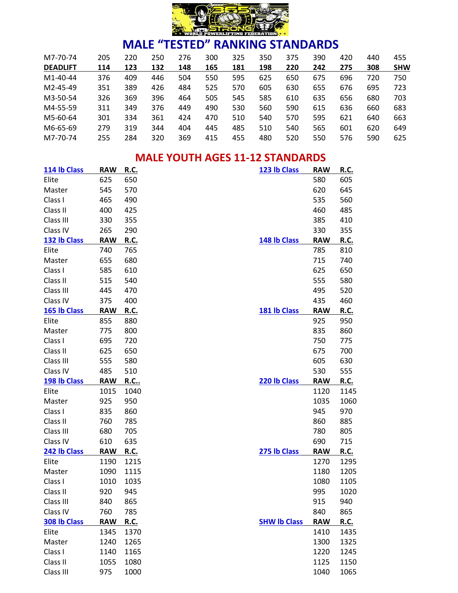

| M7-70-74              | 205 | 220 | 250 | 276 | 300 | 325 | 350 | 375 | 390 | 420 | 440 | 455        |
|-----------------------|-----|-----|-----|-----|-----|-----|-----|-----|-----|-----|-----|------------|
| <b>DEADLIFT</b>       | 114 | 123 | 132 | 148 | 165 | 181 | 198 | 220 | 242 | 275 | 308 | <b>SHW</b> |
| M <sub>1</sub> -40-44 | 376 | 409 | 446 | 504 | 550 | 595 | 625 | 650 | 675 | 696 | 720 | 750        |
| M <sub>2</sub> -45-49 | 351 | 389 | 426 | 484 | 525 | 570 | 605 | 630 | 655 | 676 | 695 | 723        |
| M3-50-54              | 326 | 369 | 396 | 464 | 505 | 545 | 585 | 610 | 635 | 656 | 680 | 703        |
| M4-55-59              | 311 | 349 | 376 | 449 | 490 | 530 | 560 | 590 | 615 | 636 | 660 | 683        |
| M5-60-64              | 301 | 334 | 361 | 424 | 470 | 510 | 540 | 570 | 595 | 621 | 640 | 663        |
| M6-65-69              | 279 | 319 | 344 | 404 | 445 | 485 | 510 | 540 | 565 | 601 | 620 | 649        |
| M7-70-74              | 255 | 284 | 320 | 369 | 415 | 455 | 480 | 520 | 550 | 576 | 590 | 625        |

#### **MALE YOUTH AGES 11-12 STANDARDS**

| 114 lb Class | <b>RAW</b> | R.C.        | 123 lb Class        | <b>RAW</b> | <b>R.C.</b> |
|--------------|------------|-------------|---------------------|------------|-------------|
| Elite        | 625        | 650         |                     | 580        | 605         |
| Master       | 545        | 570         |                     | 620        | 645         |
| Class I      | 465        | 490         |                     | 535        | 560         |
| Class II     | 400        | 425         |                     | 460        | 485         |
| Class III    | 330        | 355         |                     | 385        | 410         |
| Class IV     | 265        | 290         |                     | 330        | 355         |
| 132 lb Class | <b>RAW</b> | R.C.        | 148 lb Class        | <b>RAW</b> | R.C.        |
| Elite        | 740        | 765         |                     | 785        | 810         |
| Master       | 655        | 680         |                     | 715        | 740         |
| Class I      | 585        | 610         |                     | 625        | 650         |
| Class II     | 515        | 540         |                     | 555        | 580         |
| Class III    | 445        | 470         |                     | 495        | 520         |
| Class IV     | 375        | 400         |                     | 435        | 460         |
| 165 lb Class | <b>RAW</b> | <b>R.C.</b> | 181 lb Class        | <b>RAW</b> | <b>R.C.</b> |
| Elite        | 855        | 880         |                     | 925        | 950         |
| Master       | 775        | 800         |                     | 835        | 860         |
| Class I      | 695        | 720         |                     | 750        | 775         |
| Class II     | 625        | 650         |                     | 675        | 700         |
| Class III    | 555        | 580         |                     | 605        | 630         |
| Class IV     | 485        | 510         |                     | 530        | 555         |
| 198 lb Class | <b>RAW</b> | <u>R.C</u>  | 220 lb Class        | <b>RAW</b> | <b>R.C.</b> |
| Elite        | 1015       | 1040        |                     | 1120       | 1145        |
| Master       | 925        | 950         |                     | 1035       | 1060        |
| Class I      | 835        | 860         |                     | 945        | 970         |
| Class II     | 760        | 785         |                     | 860        | 885         |
| Class III    | 680        | 705         |                     | 780        | 805         |
| Class IV     | 610        | 635         |                     | 690        | 715         |
| 242 lb Class | <b>RAW</b> | <u>R.C.</u> | 275 lb Class        | <b>RAW</b> | <u>R.C.</u> |
| Elite        | 1190       | 1215        |                     | 1270       | 1295        |
| Master       | 1090       | 1115        |                     | 1180       | 1205        |
| Class I      | 1010       | 1035        |                     | 1080       | 1105        |
| Class II     | 920        | 945         |                     | 995        | 1020        |
| Class III    | 840        | 865         |                     | 915        | 940         |
| Class IV     | 760        | 785         |                     | 840        | 865         |
| 308 lb Class | <b>RAW</b> | R.C.        | <b>SHW Ib Class</b> | <b>RAW</b> | <u>R.C.</u> |
| Elite        | 1345       | 1370        |                     | 1410       | 1435        |
| Master       | 1240       | 1265        |                     | 1300       | 1325        |
| Class I      | 1140       | 1165        |                     | 1220       | 1245        |
| Class II     | 1055       | 1080        |                     | 1125       | 1150        |
| Class III    | 975        | 1000        |                     | 1040       | 1065        |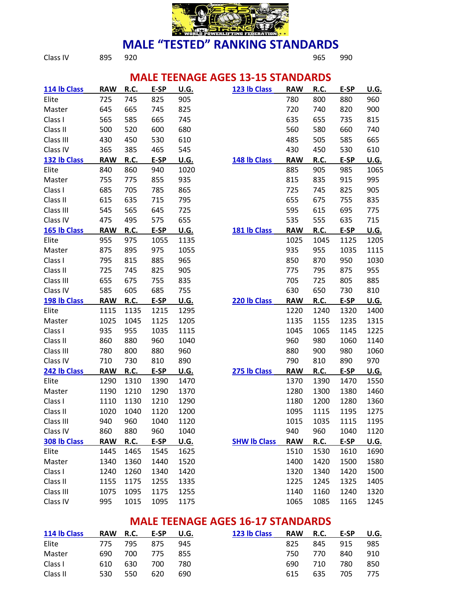

# **MALE "TESTED" RANKING STANDARDS**<br>965<br>965

Class IV 895 920 965 990

#### **MALE TEENAGE AGES 13-15 STANDARDS**

| 114 lb Class | <b>RAW</b> | R.C.        | E-SP | U.G.        | 123 lb Class        | <b>RAW</b> | R.C.        | E-SP | U.G.        |
|--------------|------------|-------------|------|-------------|---------------------|------------|-------------|------|-------------|
| Elite        | 725        | 745         | 825  | 905         |                     | 780        | 800         | 880  | 960         |
| Master       | 645        | 665         | 745  | 825         |                     | 720        | 740         | 820  | 900         |
| Class I      | 565        | 585         | 665  | 745         |                     | 635        | 655         | 735  | 815         |
| Class II     | 500        | 520         | 600  | 680         |                     | 560        | 580         | 660  | 740         |
| Class III    | 430        | 450         | 530  | 610         |                     | 485        | 505         | 585  | 665         |
| Class IV     | 365        | 385         | 465  | 545         |                     | 430        | 450         | 530  | 610         |
| 132 lb Class | <b>RAW</b> | R.C.        | E-SP | U.G.        | 148 lb Class        | <b>RAW</b> | R.C.        | E-SP | <b>U.G.</b> |
| Elite        | 840        | 860         | 940  | 1020        |                     | 885        | 905         | 985  | 1065        |
| Master       | 755        | 775         | 855  | 935         |                     | 815        | 835         | 915  | 995         |
| Class I      | 685        | 705         | 785  | 865         |                     | 725        | 745         | 825  | 905         |
| Class II     | 615        | 635         | 715  | 795         |                     | 655        | 675         | 755  | 835         |
| Class III    | 545        | 565         | 645  | 725         |                     | 595        | 615         | 695  | 775         |
| Class IV     | 475        | 495         | 575  | 655         |                     | 535        | 555         | 635  | 715         |
| 165 lb Class | <b>RAW</b> | R.C.        | E-SP | <b>U.G.</b> | 181 lb Class        | <b>RAW</b> | R.C.        | E-SP | U.G.        |
| Elite        | 955        | 975         | 1055 | 1135        |                     | 1025       | 1045        | 1125 | 1205        |
| Master       | 875        | 895         | 975  | 1055        |                     | 935        | 955         | 1035 | 1115        |
| Class I      | 795        | 815         | 885  | 965         |                     | 850        | 870         | 950  | 1030        |
| Class II     | 725        | 745         | 825  | 905         |                     | 775        | 795         | 875  | 955         |
| Class III    | 655        | 675         | 755  | 835         |                     | 705        | 725         | 805  | 885         |
| Class IV     | 585        | 605         | 685  | 755         |                     | 630        | 650         | 730  | 810         |
|              |            |             |      |             |                     |            |             |      |             |
| 198 lb Class | <b>RAW</b> | R.C.        | E-SP | <b>U.G.</b> | 220 lb Class        | <b>RAW</b> | R.C.        | E-SP | U.G.        |
| Elite        | 1115       | 1135        | 1215 | 1295        |                     | 1220       | 1240        | 1320 | 1400        |
| Master       | 1025       | 1045        | 1125 | 1205        |                     | 1135       | 1155        | 1235 | 1315        |
| Class I      | 935        | 955         | 1035 | 1115        |                     | 1045       | 1065        | 1145 | 1225        |
| Class II     | 860        | 880         | 960  | 1040        |                     | 960        | 980         | 1060 | 1140        |
| Class III    | 780        | 800         | 880  | 960         |                     | 880        | 900         | 980  | 1060        |
| Class IV     | 710        | 730         | 810  | 890         |                     | 790        | 810         | 890  | 970         |
| 242 lb Class | <b>RAW</b> | <u>R.C.</u> | E-SP | <u>U.G.</u> | 275 lb Class        | <b>RAW</b> | <b>R.C.</b> | E-SP | <u>U.G.</u> |
| Elite        | 1290       | 1310        | 1390 | 1470        |                     | 1370       | 1390        | 1470 | 1550        |
| Master       | 1190       | 1210        | 1290 | 1370        |                     | 1280       | 1300        | 1380 | 1460        |
| Class I      | 1110       | 1130        | 1210 | 1290        |                     | 1180       | 1200        | 1280 | 1360        |
| Class II     | 1020       | 1040        | 1120 | 1200        |                     | 1095       | 1115        | 1195 | 1275        |
| Class III    | 940        | 960         | 1040 | 1120        |                     | 1015       | 1035        | 1115 | 1195        |
| Class IV     | 860        | 880         | 960  | 1040        |                     | 940        | 960         | 1040 | 1120        |
| 308 lb Class | <b>RAW</b> | R.C.        | E-SP | U.G.        | <b>SHW Ib Class</b> | <b>RAW</b> | R.C.        | E-SP | U.G.        |
| Elite        | 1445       | 1465        | 1545 | 1625        |                     | 1510       | 1530        | 1610 | 1690        |
| Master       | 1340       | 1360        | 1440 | 1520        |                     | 1400       | 1420        | 1500 | 1580        |
| Class I      | 1240       | 1260        | 1340 | 1420        |                     | 1320       | 1340        | 1420 | 1500        |
| Class II     | 1155       | 1175        | 1255 | 1335        |                     | 1225       | 1245        | 1325 | 1405        |
| Class III    | 1075       | 1095        | 1175 | 1255        |                     | 1140       | 1160        | 1240 | 1320        |

#### **MALE TEENAGE AGES 16-17 STANDARDS**

| 114 lb Class | RAW R.C. |       | E-SP U.G. |     | 123 lb Class | RAW R.C. |     | E-SP | U.G. |
|--------------|----------|-------|-----------|-----|--------------|----------|-----|------|------|
| Elite        | 775      | 795   | 875       | 945 |              | 825      | 845 | 915  | 985  |
| Master       | 690      | - 700 | 775       | 855 |              | 750.     | 770 | 840  | 910  |
| Class I      | 610      | 630   | 700       | 780 |              | 690.     | 710 | 780  | 850  |
| Class II     | 530      | 550   | 620       | 690 |              | 615      | 635 | 705. | 775  |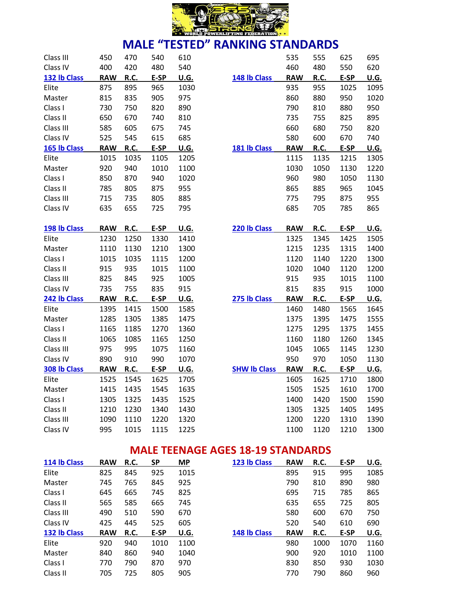

| Class III    | 450        | 470  | 540  | 610         |                     | 535        | 555         | 625  | 695         |
|--------------|------------|------|------|-------------|---------------------|------------|-------------|------|-------------|
| Class IV     | 400        | 420  | 480  | 540         |                     | 460        | 480         | 550  | 620         |
| 132 lb Class | <b>RAW</b> | R.C. | E-SP | <b>U.G.</b> | 148 lb Class        | <b>RAW</b> | R.C.        | E-SP | U.G.        |
| Elite        | 875        | 895  | 965  | 1030        |                     | 935        | 955         | 1025 | 1095        |
| Master       | 815        | 835  | 905  | 975         |                     | 860        | 880         | 950  | 1020        |
| Class I      | 730        | 750  | 820  | 890         |                     | 790        | 810         | 880  | 950         |
| Class II     | 650        | 670  | 740  | 810         |                     | 735        | 755         | 825  | 895         |
| Class III    | 585        | 605  | 675  | 745         |                     | 660        | 680         | 750  | 820         |
| Class IV     | 525        | 545  | 615  | 685         |                     | 580        | 600         | 670  | 740         |
| 165 lb Class | <b>RAW</b> | R.C. | E-SP | <b>U.G.</b> | 181 lb Class        | <b>RAW</b> | <b>R.C.</b> | E-SP | <b>U.G.</b> |
| Elite        | 1015       | 1035 | 1105 | 1205        |                     | 1115       | 1135        | 1215 | 1305        |
| Master       | 920        | 940  | 1010 | 1100        |                     | 1030       | 1050        | 1130 | 1220        |
| Class I      | 850        | 870  | 940  | 1020        |                     | 960        | 980         | 1050 | 1130        |
| Class II     | 785        | 805  | 875  | 955         |                     | 865        | 885         | 965  | 1045        |
| Class III    | 715        | 735  | 805  | 885         |                     | 775        | 795         | 875  | 955         |
| Class IV     | 635        | 655  | 725  | 795         |                     | 685        | 705         | 785  | 865         |
|              |            |      |      |             |                     |            |             |      |             |
| 198 lb Class | <b>RAW</b> | R.C. | E-SP | <b>U.G.</b> | 220 lb Class        | <b>RAW</b> | <b>R.C.</b> | E-SP | <b>U.G.</b> |
| Elite        | 1230       | 1250 | 1330 | 1410        |                     | 1325       | 1345        | 1425 | 1505        |
| Master       | 1110       | 1130 | 1210 | 1300        |                     | 1215       | 1235        | 1315 | 1400        |
| Class I      | 1015       | 1035 | 1115 | 1200        |                     | 1120       | 1140        | 1220 | 1300        |
| Class II     | 915        | 935  | 1015 | 1100        |                     | 1020       | 1040        | 1120 | 1200        |
| Class III    | 825        | 845  | 925  | 1005        |                     | 915        | 935         | 1015 | 1100        |
| Class IV     | 735        | 755  | 835  | 915         |                     | 815        | 835         | 915  | 1000        |
| 242 lb Class | <b>RAW</b> | R.C. | E-SP | <u>U.G.</u> | 275 lb Class        | <b>RAW</b> | R.C.        | E-SP | <u>U.G.</u> |
| Elite        | 1395       | 1415 | 1500 | 1585        |                     | 1460       | 1480        | 1565 | 1645        |
| Master       | 1285       | 1305 | 1385 | 1475        |                     | 1375       | 1395        | 1475 | 1555        |
| Class I      | 1165       | 1185 | 1270 | 1360        |                     | 1275       | 1295        | 1375 | 1455        |
| Class II     | 1065       | 1085 | 1165 | 1250        |                     | 1160       | 1180        | 1260 | 1345        |
| Class III    | 975        | 995  | 1075 | 1160        |                     | 1045       | 1065        | 1145 | 1230        |
| Class IV     | 890        | 910  | 990  | 1070        |                     | 950        | 970         | 1050 | 1130        |
| 308 lb Class | <b>RAW</b> | R.C. | E-SP | <b>U.G.</b> | <b>SHW Ib Class</b> | <b>RAW</b> | R.C.        | E-SP | <u>U.G.</u> |
| Elite        | 1525       | 1545 | 1625 | 1705        |                     | 1605       | 1625        | 1710 | 1800        |
| Master       | 1415       | 1435 | 1545 | 1635        |                     | 1505       | 1525        | 1610 | 1700        |
| Class I      | 1305       | 1325 | 1435 | 1525        |                     | 1400       | 1420        | 1500 | 1590        |
| Class II     | 1210       | 1230 | 1340 | 1430        |                     | 1305       | 1325        | 1405 | 1495        |
| Class III    | 1090       | 1110 | 1220 | 1320        |                     | 1200       | 1220        | 1310 | 1390        |
| Class IV     | 995        | 1015 | 1115 | 1225        |                     | 1100       | 1120        | 1210 | 1300        |

|                     | 535        | 555  | 625  | 695         |
|---------------------|------------|------|------|-------------|
|                     | 460        | 480  | 550  | 620         |
| 148 lb Class        | <b>RAW</b> | R.C. | E-SP | U.G.        |
|                     | 935        | 955  | 1025 | 1095        |
|                     | 860        | 880  | 950  | 1020        |
|                     | 790        | 810  | 880  | 950         |
|                     | 735        | 755  | 825  | 895         |
|                     | 660        | 680  | 750  | 820         |
|                     | 580        | 600  | 670  | 740         |
| 181 lb Class        | <b>RAW</b> | R.C. | E-SP | U.G.        |
|                     | 1115       | 1135 | 1215 | 1305        |
|                     | 1030       | 1050 | 1130 | 1220        |
|                     | 960        | 980  | 1050 | 1130        |
|                     | 865        | 885  | 965  | 1045        |
|                     | 775        | 795  | 875  | 955         |
|                     | 685        | 705  | 785  | 865         |
|                     |            |      |      |             |
| 220 lb Class        | <b>RAW</b> | R.C. | E-SP | U.G.        |
|                     | 1325       | 1345 | 1425 | 1505        |
|                     | 1215       | 1235 | 1315 | 1400        |
|                     | 1120       | 1140 | 1220 | 1300        |
|                     | 1020       | 1040 | 1120 | 1200        |
|                     | 915        | 935  | 1015 | 1100        |
|                     | 815        | 835  | 915  | 1000        |
| 275 lb Class        | <b>RAW</b> | R.C. | E-SP | U.G.        |
|                     | 1460       | 1480 | 1565 | 1645        |
|                     | 1375       | 1395 | 1475 | 1555        |
|                     | 1275       | 1295 | 1375 | 1455        |
|                     | 1160       | 1180 | 1260 | 1345        |
|                     | 1045       | 1065 | 1145 | 1230        |
|                     | 950        | 970  | 1050 | 1130        |
| <b>SHW Ib Class</b> | <b>RAW</b> | R.C. | E-SP | <u>U.G.</u> |
|                     | 1605       | 1625 | 1710 | 1800        |
|                     | 1505       | 1525 | 1610 | 1700        |
|                     | 1400       | 1420 | 1500 | 1590        |
|                     | 1305       | 1325 | 1405 | 1495        |
|                     | 1200       | 1220 | 1310 | 1390        |
|                     | 1100       | 1120 | 1210 | 1300        |

#### **MALE TEENAGE AGES 18-19 STANDARDS**

| 114 lb Class | <b>RAW</b> | <b>R.C.</b> | <b>SP</b> | <b>MP</b> | 123 lb Class | <b>RAW</b> | R.C.        | E-SP | U.G. |
|--------------|------------|-------------|-----------|-----------|--------------|------------|-------------|------|------|
| Elite        | 825        | 845         | 925       | 1015      |              | 895        | 915         | 995  | 1085 |
| Master       | 745        | 765         | 845       | 925       |              | 790        | 810         | 890  | 980  |
| Class I      | 645        | 665         | 745       | 825       |              | 695        | 715         | 785  | 865  |
| Class II     | 565        | 585         | 665       | 745       |              | 635        | 655         | 725  | 805  |
| Class III    | 490        | 510         | 590       | 670       |              | 580        | 600         | 670  | 750  |
| Class IV     | 425        | 445         | 525       | 605       |              | 520        | 540         | 610  | 690  |
| 132 lb Class | <b>RAW</b> | <b>R.C.</b> | E-SP      | U.G.      | 148 lb Class | <b>RAW</b> | <b>R.C.</b> | E-SP | U.G. |
| Elite        | 920        | 940         | 1010      | 1100      |              | 980        | 1000        | 1070 | 1160 |
| Master       | 840        | 860         | 940       | 1040      |              | 900        | 920         | 1010 | 1100 |
| Class I      | 770        | 790         | 870       | 970       |              | 830        | 850         | 930  | 1030 |
| Class II     | 705        | 725         | 805       | 905       |              | 770        | 790         | 860  | 960  |